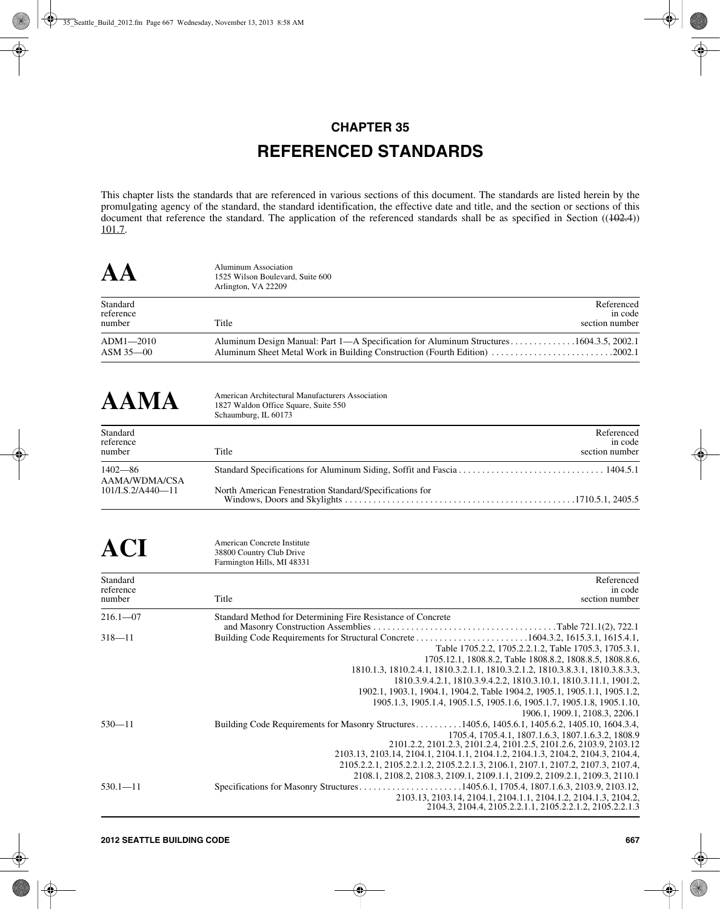## **CHAPTER 35 REFERENCED STANDARDS**

This chapter lists the standards that are referenced in various sections of this document. The standards are listed herein by the promulgating agency of the standard, the standard identification, the effective date and title, and the section or sections of this document that reference the standard. The application of the referenced standards shall be as specified in Section  $((102.4))$ 101.7.

| AA                              | <b>Aluminum Association</b><br>1525 Wilson Boulevard, Suite 600<br>Arlington, VA 22209 |
|---------------------------------|----------------------------------------------------------------------------------------|
| Standard<br>reference<br>number | Referenced<br>in code<br>Title<br>section number                                       |
| $ADM1 - 2010$<br>$ASM 35 - 00$  | Aluminum Design Manual: Part 1—A Specification for Aluminum Structures1604.3.5, 2002.1 |

| <b>AAMA</b>                                          | American Architectural Manufacturers Association<br>1827 Waldon Office Square, Suite 550<br>Schaumburg, IL 60173 |                                         |
|------------------------------------------------------|------------------------------------------------------------------------------------------------------------------|-----------------------------------------|
| Standard<br>reference<br>number                      | Title                                                                                                            | Referenced<br>in code<br>section number |
| $1402 - 86$<br>AAMA/WDMA/CSA<br>$101$ /I.S.2/A440-11 | North American Fenestration Standard/Specifications for                                                          |                                         |

ACI American Concrete Institute<br>
38800 Country Club Drive<br>
Escription Hills MLA2331 Farmington Hills, MI 48331

| Standard<br>reference<br>number | Referenced<br>in code<br>Title<br>section number                                                 |  |
|---------------------------------|--------------------------------------------------------------------------------------------------|--|
| $216.1 - 07$                    | Standard Method for Determining Fire Resistance of Concrete                                      |  |
|                                 |                                                                                                  |  |
| $318 - 11$                      |                                                                                                  |  |
|                                 | Table 1705.2.2, 1705.2.2.1.2, Table 1705.3, 1705.3.1,                                            |  |
|                                 | 1705.12.1, 1808.8.2, Table 1808.8.2, 1808.8.5, 1808.8.6,                                         |  |
|                                 | 1810.1.3, 1810.2.4.1, 1810.3.2.1.1, 1810.3.2.1.2, 1810.3.8.3.1, 1810.3.8.3.3,                    |  |
|                                 | 1810.3.9.4.2.1, 1810.3.9.4.2.2, 1810.3.10.1, 1810.3.11.1, 1901.2,                                |  |
|                                 | 1902.1, 1903.1, 1904.1, 1904.2, Table 1904.2, 1905.1, 1905.1.1, 1905.1.2,                        |  |
|                                 | 1905.1.3, 1905.1.4, 1905.1.5, 1905.1.6, 1905.1.7, 1905.1.8, 1905.1.10,                           |  |
|                                 | 1906.1, 1909.1, 2108.3, 2206.1                                                                   |  |
| $530 - 11$                      | Building Code Requirements for Masonry Structures 1405.6, 1405.6.1, 1405.6.2, 1405.10, 1604.3.4, |  |
|                                 | 1705.4, 1705.4.1, 1807.1.6.3, 1807.1.6.3.2, 1808.9                                               |  |
|                                 | 2101.2.2, 2101.2.3, 2101.2.4, 2101.2.5, 2101.2.6, 2103.9, 2103.12                                |  |
|                                 | 2103.13, 2103.14, 2104.1, 2104.1.1, 2104.1.2, 2104.1.3, 2104.2, 2104.3, 2104.4,                  |  |
|                                 | 2105.2.2.1, 2105.2.2.1.2, 2105.2.2.1.3, 2106.1, 2107.1, 2107.2, 2107.3, 2107.4,                  |  |
|                                 | 2108.1, 2108.2, 2108.3, 2109.1, 2109.1.1, 2109.2, 2109.2.1, 2109.3, 2110.1                       |  |
| $530.1 - 11$                    |                                                                                                  |  |
|                                 |                                                                                                  |  |
|                                 | 2103.13, 2103.14, 2104.1, 2104.1.1, 2104.1.2, 2104.1.3, 2104.2,                                  |  |
|                                 | 2104.3, 2104.4, 2105.2.2.1.1, 2105.2.2.1.2, 2105.2.2.1.3                                         |  |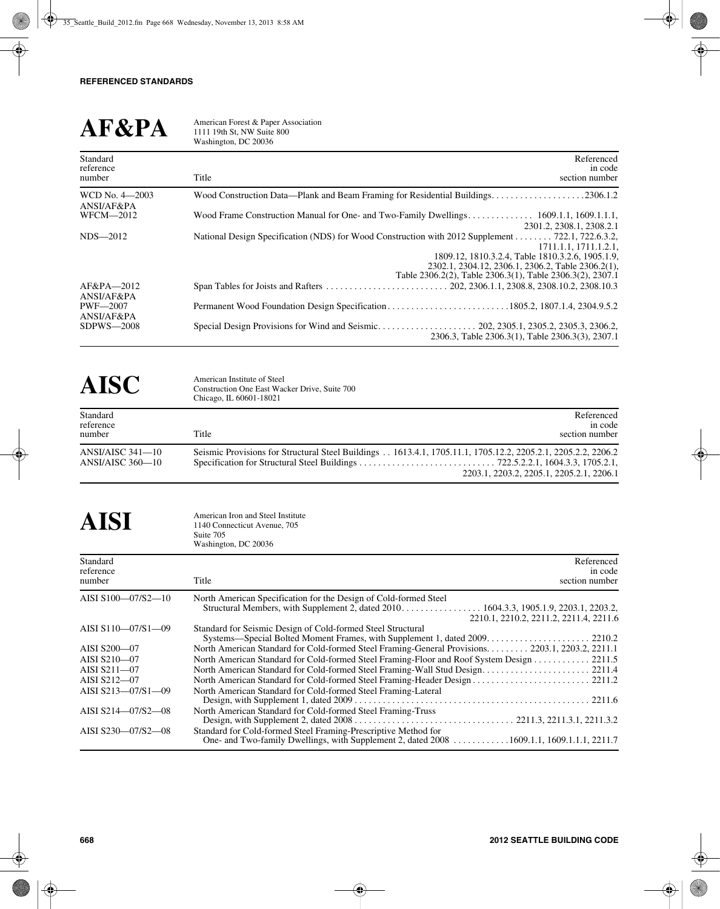| <b>AF&amp;PA</b>                | American Forest & Paper Association<br>1111 19th St, NW Suite 800<br>Washington, DC 20036                                                                                                                                                                                                                                  |
|---------------------------------|----------------------------------------------------------------------------------------------------------------------------------------------------------------------------------------------------------------------------------------------------------------------------------------------------------------------------|
| Standard<br>reference<br>number | Referenced<br>in code<br>Title<br>section number                                                                                                                                                                                                                                                                           |
| WCD No. 4-2003<br>ANSI/AF&PA    |                                                                                                                                                                                                                                                                                                                            |
| WFCM-2012                       | Wood Frame Construction Manual for One- and Two-Family Dwellings 1609.1.1, 1609.1.1.1,                                                                                                                                                                                                                                     |
| $NDS - 2012$                    | 2301.2, 2308.1, 2308.2.1<br>National Design Specification (NDS) for Wood Construction with 2012 Supplement 722.1, 722.6.3.2,<br>1711.1.1.1711.1.2.1.<br>1809.12, 1810.3.2.4. Table 1810.3.2.6, 1905.1.9.<br>2302.1, 2304.12, 2306.1, 2306.2, Table 2306.2(1),<br>Table 2306.2(2), Table 2306.3(1), Table 2306.3(2), 2307.1 |
| AF&PA-2012<br>ANSI/AF&PA        |                                                                                                                                                                                                                                                                                                                            |
| PWF-2007<br>ANSI/AF&PA          |                                                                                                                                                                                                                                                                                                                            |
| SDPWS-2008                      | 2306.3, Table 2306.3(1), Table 2306.3(3), 2307.1                                                                                                                                                                                                                                                                           |

| <b>AISC</b>                                  | American Institute of Steel<br>Construction One East Wacker Drive, Suite 700<br>Chicago, IL 60601-18021                                                  |
|----------------------------------------------|----------------------------------------------------------------------------------------------------------------------------------------------------------|
| Standard<br>reference<br>number              | Referenced<br>in code<br>Title<br>section number                                                                                                         |
| $ANSI/AISC 341 - 10$<br>$ANSI/AISC 360 - 10$ | Seismic Provisions for Structural Steel Buildings 1613.4.1, 1705.11.1, 1705.12.2, 2205.2.1, 2205.2.2, 2206.2<br>2203.1, 2203.2, 2205.1, 2205.2.1, 2206.1 |

**AISI** American Iron and Steel Institute<br>
1140 Connecticut Avenue, 705 Suite 705 Washington, DC 20036

| Standard<br>reference | Referenced<br>in code                                                                            |
|-----------------------|--------------------------------------------------------------------------------------------------|
| number                | section number<br>Title                                                                          |
| AISI S100-07/S2-10    | North American Specification for the Design of Cold-formed Steel                                 |
|                       |                                                                                                  |
|                       | 2210.1, 2210.2, 2211.2, 2211.4, 2211.6                                                           |
| AISI S110-07/S1-09    | Standard for Seismic Design of Cold-formed Steel Structural                                      |
|                       |                                                                                                  |
| AISI S200-07          | North American Standard for Cold-formed Steel Framing-General Provisions. 2203.1, 2203.2, 2211.1 |
| AISI S210-07          | North American Standard for Cold-formed Steel Framing-Floor and Roof System Design 2211.5        |
| AISI S211-07          |                                                                                                  |
| AISI S212-07          |                                                                                                  |
| AISI S213-07/S1-09    | North American Standard for Cold-formed Steel Framing-Lateral                                    |
|                       |                                                                                                  |
| AISI S214-07/S2-08    | North American Standard for Cold-formed Steel Framing-Truss                                      |
|                       |                                                                                                  |
| AISI S230-07/S2-08    | Standard for Cold-formed Steel Framing-Prescriptive Method for                                   |
|                       | One- and Two-family Dwellings, with Supplement 2, dated 2008 1609.1.1, 1609.1.1.1, 2211.7        |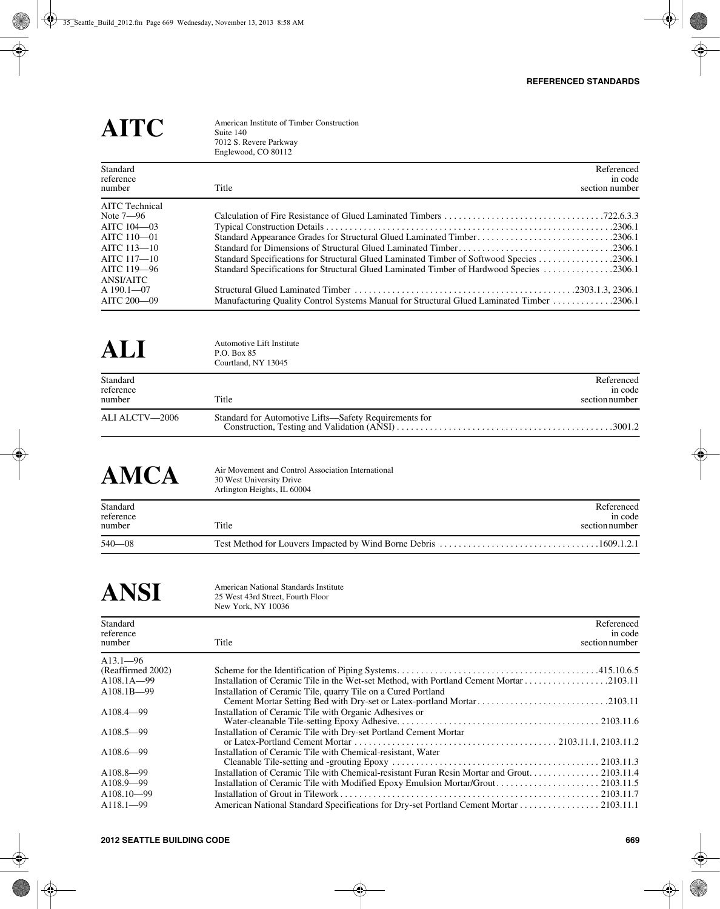AITC American Institute of Timber Construction Suite 140 7012 S. Revere Parkway Englewood, CO 80112

| Standard<br>reference<br>number | Title                                                                                     | Referenced<br>in code<br>section number |
|---------------------------------|-------------------------------------------------------------------------------------------|-----------------------------------------|
| AITC Technical                  |                                                                                           |                                         |
| Note $7-96$                     |                                                                                           |                                         |
| AITC 104 - 03                   |                                                                                           |                                         |
| AITC 110-01                     | Standard Appearance Grades for Structural Glued Laminated Timber2306.1                    |                                         |
| AITC 113-10                     |                                                                                           |                                         |
| AITC 117-10                     |                                                                                           |                                         |
| AITC 119-96                     | Standard Specifications for Structural Glued Laminated Timber of Hardwood Species 2306.1  |                                         |
| ANSI/AITC                       |                                                                                           |                                         |
| A $190.1 - 07$                  |                                                                                           |                                         |
| AITC 200-09                     | Manufacturing Quality Control Systems Manual for Structural Glued Laminated Timber 2306.1 |                                         |

# ALI Automotive Lift Institute<br>P.O. Box 85

P.O. Box 85 Courtland, NY 13045

| Standard<br>reference<br>number | Title                                                 | Referenced<br>in code<br>section number |
|---------------------------------|-------------------------------------------------------|-----------------------------------------|
| ALI ALCTV—2006                  | Standard for Automotive Lifts—Safety Requirements for |                                         |

AMCA Air Movement and Control Association International<br>
30 West University Drive<br>
Arlington Heights, U. 60004 Arlington Heights, IL 60004

|                                 | $1.44$ magnetic respectively. The $0.0001$ |                                         |
|---------------------------------|--------------------------------------------|-----------------------------------------|
| Standard<br>reference<br>number | Title                                      | Referenced<br>in code<br>section number |
| $540 - 08$                      |                                            |                                         |

ANSI American National Standards Institute<br>25 West 43rd Street, Fourth Floor 25 West 43rd Street, Fourth Floor New York, NY 10036

| Standard<br>reference<br>number | Title                                                                                                                                   | Referenced<br>in code<br>section number |
|---------------------------------|-----------------------------------------------------------------------------------------------------------------------------------------|-----------------------------------------|
| $A13.1 - 96$                    |                                                                                                                                         |                                         |
| (Reaffirmed 2002)               |                                                                                                                                         |                                         |
| $A108.1A - 99$                  |                                                                                                                                         |                                         |
| $A108.1B - 99$                  | Installation of Ceramic Tile, quarry Tile on a Cured Portland<br>Cement Mortar Setting Bed with Dry-set or Latex-portland Mortar2103.11 |                                         |
| $A108.4 - 99$                   | Installation of Ceramic Tile with Organic Adhesives or                                                                                  |                                         |
| A108.5-99                       | Installation of Ceramic Tile with Dry-set Portland Cement Mortar                                                                        |                                         |
| $A108.6 - 99$                   | Installation of Ceramic Tile with Chemical-resistant, Water                                                                             |                                         |
| A <sub>108.8</sub> -99          |                                                                                                                                         |                                         |
| A108.9-99                       | Installation of Ceramic Tile with Modified Epoxy Emulsion Mortar/Grout2103.11.5                                                         |                                         |
| $A108.10 - 99$                  |                                                                                                                                         |                                         |
| $A118.1 - 99$                   | American National Standard Specifications for Dry-set Portland Cement Mortar 2103.11.1                                                  |                                         |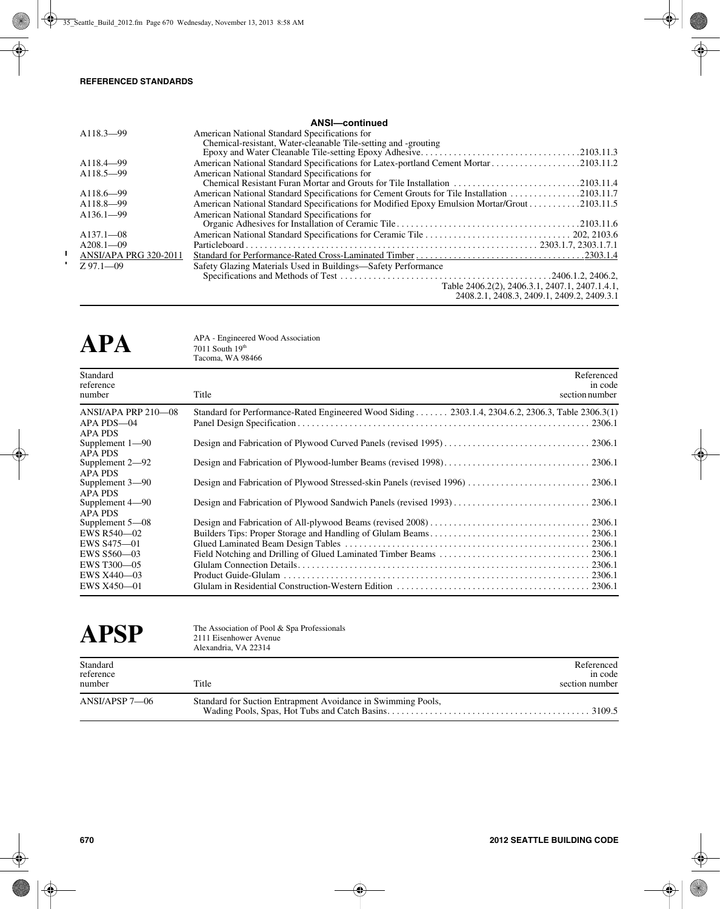|                              | <b>ANSI-continued</b>                                                                                 |  |
|------------------------------|-------------------------------------------------------------------------------------------------------|--|
| A118.3-99                    | American National Standard Specifications for                                                         |  |
|                              | Chemical-resistant, Water-cleanable Tile-setting and -grouting                                        |  |
|                              |                                                                                                       |  |
| A <sub>118.4</sub> -99       |                                                                                                       |  |
| A118.5-99                    | American National Standard Specifications for                                                         |  |
|                              | Chemical Resistant Furan Mortar and Grouts for Tile Installation 2103.11.4                            |  |
| $A118.6 - 99$                | 2103.11.7 American National Standard Specifications for Cement Grouts for Tile Installation 2103.11.7 |  |
| A118.8-99                    | American National Standard Specifications for Modified Epoxy Emulsion Mortar/Grout 2103.11.5          |  |
| $A136.1 - 99$                | American National Standard Specifications for                                                         |  |
|                              |                                                                                                       |  |
| $A137.1 - 08$                |                                                                                                       |  |
| $A208.1 - 09$                |                                                                                                       |  |
| <b>ANSI/APA PRG 320-2011</b> |                                                                                                       |  |
| $Z$ 97.1-09                  | Safety Glazing Materials Used in Buildings-Safety Performance                                         |  |
|                              |                                                                                                       |  |
|                              | Table 2406.2(2), 2406.3.1, 2407.1, 2407.1.4.1,                                                        |  |
|                              | 2408.2.1, 2408.3, 2409.1, 2409.2, 2409.3.1                                                            |  |
|                              |                                                                                                       |  |

 $\mathbf I$  $\overline{1}$ 

> $APA$  APA - Engineered Wood Association<br>  $T_{\text{111 South 19th}}^{PAPA -$  Engineered Wood Association Tacoma, WA 98466

| Standard<br>reference<br>number              | Referenced<br>in code<br>Title<br>section number                                                  |
|----------------------------------------------|---------------------------------------------------------------------------------------------------|
| ANSI/APA PRP 210-08<br>APA PDS-04<br>APA PDS | Standard for Performance-Rated Engineered Wood Siding 2303.1.4, 2304.6.2, 2306.3, Table 2306.3(1) |
| Supplement $1 - 90$<br>APA PDS               |                                                                                                   |
| Supplement 2-92<br>APA PDS                   |                                                                                                   |
| Supplement 3-90<br>APA PDS                   |                                                                                                   |
| Supplement 4-90<br>APA PDS                   |                                                                                                   |
| Supplement 5-08                              |                                                                                                   |
| EWS R540-02                                  |                                                                                                   |
| EWS S475-01                                  |                                                                                                   |
| EWS S560-03                                  |                                                                                                   |
| EWS T300-05                                  |                                                                                                   |
| EWS X440-03                                  |                                                                                                   |
| EWS X450-01                                  |                                                                                                   |

| <b>APSP</b>                     | The Association of Pool & Spa Professionals<br>2111 Eisenhower Avenue<br>Alexandria, VA 22314 |                                         |
|---------------------------------|-----------------------------------------------------------------------------------------------|-----------------------------------------|
| Standard<br>reference<br>number | Title                                                                                         | Referenced<br>in code<br>section number |
| ANSI/APSP 7-06                  | Standard for Suction Entrapment Avoidance in Swimming Pools,                                  |                                         |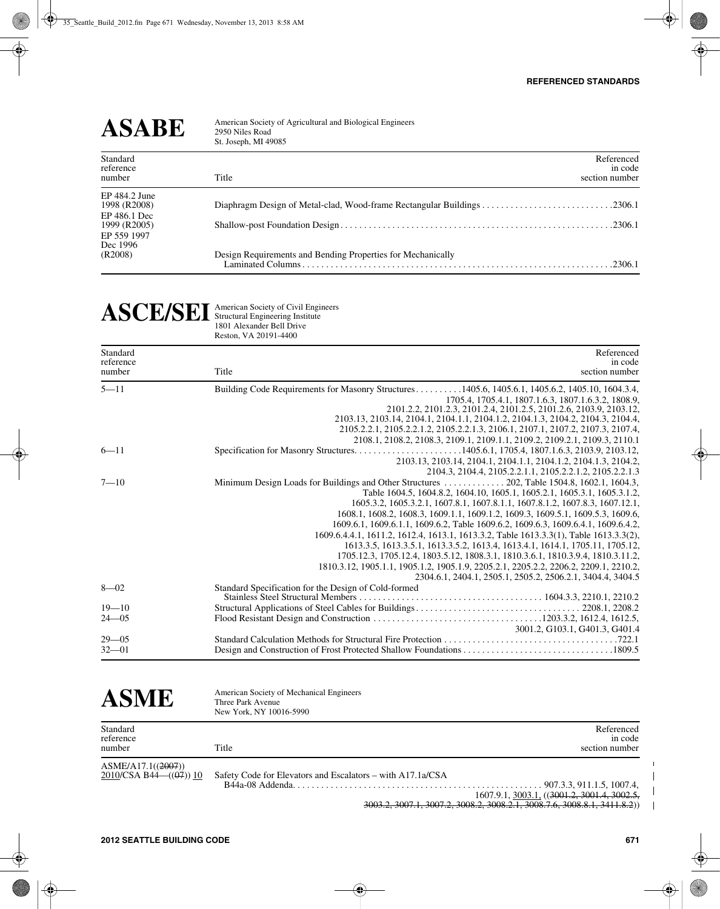| American Society of Agricultural and Biological Engineers<br>2950 Niles Road<br>St. Joseph, MI 49085 |                                         |
|------------------------------------------------------------------------------------------------------|-----------------------------------------|
| Title                                                                                                | Referenced<br>in code<br>section number |
|                                                                                                      |                                         |
| Design Requirements and Bending Properties for Mechanically                                          | .2306.1                                 |
|                                                                                                      |                                         |

# ASCE/SEI American Society of Civil Engineers

1801 Alexander Bell Drive Reston, VA 20191-4400

| Standard<br>reference<br>number | Referenced<br>in code<br>Title<br>section number                                                                                                                                                                                                                                                                                                                                                                                                                                                                                                                                                                                                                                                                                                                                                                                                   |
|---------------------------------|----------------------------------------------------------------------------------------------------------------------------------------------------------------------------------------------------------------------------------------------------------------------------------------------------------------------------------------------------------------------------------------------------------------------------------------------------------------------------------------------------------------------------------------------------------------------------------------------------------------------------------------------------------------------------------------------------------------------------------------------------------------------------------------------------------------------------------------------------|
| $5 - 11$                        | Building Code Requirements for Masonry Structures1405.6, 1405.6.1, 1405.6.2, 1405.10, 1604.3.4,<br>1705.4, 1705.4.1, 1807.1.6.3, 1807.1.6.3.2, 1808.9,<br>2101.2.2, 2101.2.3, 2101.2.4, 2101.2.5, 2101.2.6, 2103.9, 2103.12,<br>2103.13, 2103.14, 2104.1, 2104.1.1, 2104.1.2, 2104.1.3, 2104.2, 2104.3, 2104.4,<br>2105.2.2.1, 2105.2.2.1.2, 2105.2.2.1.3, 2106.1, 2107.1, 2107.2, 2107.3, 2107.4,                                                                                                                                                                                                                                                                                                                                                                                                                                                 |
| $6 - 11$                        | 2108.1, 2108.2, 2108.3, 2109.1, 2109.1.1, 2109.2, 2109.2.1, 2109.3, 2110.1<br>2103.13, 2103.14, 2104.1, 2104.1.1, 2104.1.2, 2104.1.3, 2104.2,<br>2104.3, 2104.4, 2105.2.2.1.1, 2105.2.2.1.2, 2105.2.2.1.3                                                                                                                                                                                                                                                                                                                                                                                                                                                                                                                                                                                                                                          |
| $7 - 10$                        | Minimum Design Loads for Buildings and Other Structures  202, Table 1504.8, 1602.1, 1604.3,<br>Table 1604.5, 1604.8.2, 1604.10, 1605.1, 1605.2.1, 1605.3.1, 1605.3.1.2,<br>1605.3.2, 1605.3.2.1, 1607.8.1, 1607.8.1.1, 1607.8.1.2, 1607.8.3, 1607.12.1,<br>1608.1, 1608.2, 1608.3, 1609.1.1, 1609.1.2, 1609.3, 1609.5.1, 1609.5.3, 1609.6,<br>1609.6.1, 1609.6.1.1, 1609.6.2, Table 1609.6.2, 1609.6.3, 1609.6.4.1, 1609.6.4.2,<br>1609.6.4.4.1, 1611.2, 1612.4, 1613.1, 1613.3.2, Table 1613.3.3(1), Table 1613.3.3(2),<br>1613.3.5, 1613.3.5.1, 1613.3.5.2, 1613.4, 1613.4.1, 1614.1, 1705.11, 1705.12,<br>1705.12.3, 1705.12.4, 1803.5.12, 1808.3.1, 1810.3.6.1, 1810.3.9.4, 1810.3.11.2,<br>1810.3.12, 1905.1.1, 1905.1.2, 1905.1.9, 2205.2.1, 2205.2.2, 2206.2, 2209.1, 2210.2,<br>2304.6.1, 2404.1, 2505.1, 2505.2, 2506.2.1, 3404.4, 3404.5 |
| $8 - 02$                        | Standard Specification for the Design of Cold-formed                                                                                                                                                                                                                                                                                                                                                                                                                                                                                                                                                                                                                                                                                                                                                                                               |
| $19 - 10$<br>$24 - 05$          | 3001.2, G103.1, G401.3, G401.4                                                                                                                                                                                                                                                                                                                                                                                                                                                                                                                                                                                                                                                                                                                                                                                                                     |
| $29 - 05$<br>$32 - 01$          |                                                                                                                                                                                                                                                                                                                                                                                                                                                                                                                                                                                                                                                                                                                                                                                                                                                    |

## **ASME** American Society of Mechanical Engineers Three Park Avenue New York, NY 10016-5990 Standard Referenced Referenced Referenced Referenced Referenced Referenced Referenced Referenced Referenced Referenced Referenced Referenced Referenced Referenced Referenced Referenced Referenced Referenced Referenced Refe reference in code number Title Section number Title Section number Section number section number ASME/A17.1((2007))<br>2010/CSA B44--((07)) 10

Safety Code for Elevators and Escalators – with A17.1a/CSA

B44a-08 Addenda. . . . . . . . . . . . . . . . . . . . . . . . . . . . . . . . . . . . . . . . . . . . . . . . . . . . . 907.3.3, 911.1.5, 1007.4, 1607.9.1, 3003.1, ((3001.2, 3001.4, 3002.5,

3003.2, 3007.1, 3007.2, 3008.2, 3008.2.1, 3008.7.6, 3008.8.1, 3411.8.2))

 $\blacksquare$  $\mathbf I$  $\overline{\phantom{a}}$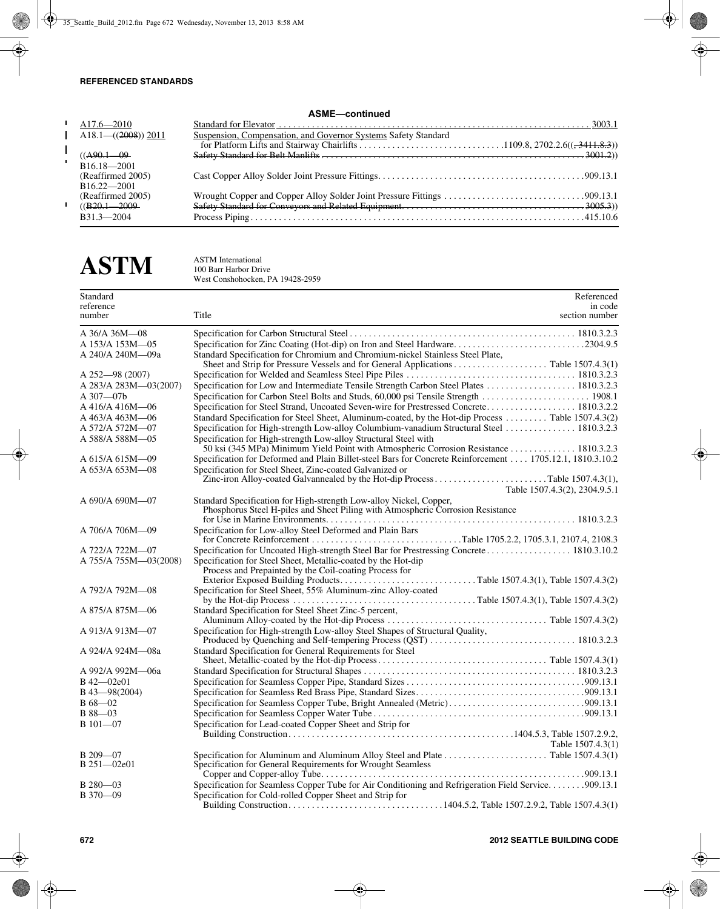## **ASME—continued**

| $A17.6 - 2010$          |                                                                |  |
|-------------------------|----------------------------------------------------------------|--|
| $A18.1 - ((2008)) 2011$ | Suspension, Compensation, and Governor Systems Safety Standard |  |
|                         |                                                                |  |
| $((A90.1 - 09)$         |                                                                |  |
| B16.18-2001             |                                                                |  |
| (Reaffirmed 2005)       |                                                                |  |
| $B16.22 - 2001$         |                                                                |  |
| (Reaffirmed 2005)       |                                                                |  |
| $((B20.1 - 2009$        |                                                                |  |
| $B31.3 - 2004$          |                                                                |  |
|                         |                                                                |  |

# **ASTM** ASTM International<br>
West Conshohocken **F**

## West Conshohocken, PA 19428-2959

| Standard                | Referenced                                                                                                                                                            |
|-------------------------|-----------------------------------------------------------------------------------------------------------------------------------------------------------------------|
| reference<br>number     | in code<br>Title<br>section number                                                                                                                                    |
|                         |                                                                                                                                                                       |
| A 36/A 36M-08           |                                                                                                                                                                       |
| A 153/A 153M-05         | Specification for Zinc Coating (Hot-dip) on Iron and Steel Hardware2304.9.5                                                                                           |
| A 240/A 240M-09a        | Standard Specification for Chromium and Chromium-nickel Stainless Steel Plate,<br>Sheet and Strip for Pressure Vessels and for General Applications Table 1507.4.3(1) |
| A 252-98 (2007)         |                                                                                                                                                                       |
| A 283/A 283M-03(2007)   | Specification for Low and Intermediate Tensile Strength Carbon Steel Plates 1810.3.2.3                                                                                |
| $A307 - 07b$            |                                                                                                                                                                       |
| A 416/A 416M-06         | Specification for Steel Strand, Uncoated Seven-wire for Prestressed Concrete. 1810.3.2.2                                                                              |
| A 463/A 463M-06         | Standard Specification for Steel Sheet, Aluminum-coated, by the Hot-dip Process  Table 1507.4.3(2)                                                                    |
| A 572/A 572M-07         | Specification for High-strength Low-alloy Columbium-vanadium Structural Steel  1810.3.2.3                                                                             |
| A 588/A 588M-05         | Specification for High-strength Low-alloy Structural Steel with                                                                                                       |
|                         | 50 ksi (345 MPa) Minimum Yield Point with Atmospheric Corrosion Resistance 1810.3.2.3                                                                                 |
| A 615/A 615M-09         | Specification for Deformed and Plain Billet-steel Bars for Concrete Reinforcement 1705.12.1, 1810.3.10.2                                                              |
| A 653/A 653M—08         | Specification for Steel Sheet, Zinc-coated Galvanized or                                                                                                              |
|                         | Zinc-iron Alloy-coated Galvannealed by the Hot-dip ProcessTable 1507.4.3(1),                                                                                          |
|                         | Table 1507.4.3(2), 2304.9.5.1                                                                                                                                         |
| A 690/A 690M-07         | Standard Specification for High-strength Low-alloy Nickel, Copper,                                                                                                    |
|                         | Phosphorus Steel H-piles and Sheet Piling with Atmospheric Corrosion Resistance                                                                                       |
|                         |                                                                                                                                                                       |
| A 706/A 706M-09         | Specification for Low-alloy Steel Deformed and Plain Bars                                                                                                             |
|                         | Specification for Uncoated High-strength Steel Bar for Prestressing Concrete 1810.3.10.2                                                                              |
| A 722/A 722M-07         | Specification for Steel Sheet, Metallic-coated by the Hot-dip                                                                                                         |
| A 755/A 755M-03(2008)   | Process and Prepainted by the Coil-coating Process for                                                                                                                |
|                         | Exterior Exposed Building ProductsTable 1507.4.3(1), Table 1507.4.3(2)<br>Specification for Steel Sheet, 55% Aluminum-zinc Alloy-coated                               |
| A 792/A 792M-08         |                                                                                                                                                                       |
| A 875/A 875M-06         | Standard Specification for Steel Sheet Zinc-5 percent,                                                                                                                |
| A 913/A 913M-07         | Specification for High-strength Low-alloy Steel Shapes of Structural Quality,                                                                                         |
|                         |                                                                                                                                                                       |
| A 924/A 924M—08a        | Standard Specification for General Requirements for Steel                                                                                                             |
|                         |                                                                                                                                                                       |
| A 992/A 992M-06a        |                                                                                                                                                                       |
| B 42-02e01              |                                                                                                                                                                       |
| B 43-98(2004)           |                                                                                                                                                                       |
| $B\,68 - 02$            |                                                                                                                                                                       |
| $B88 - 03$              |                                                                                                                                                                       |
| $B101 - 07$             | Specification for Lead-coated Copper Sheet and Strip for                                                                                                              |
|                         |                                                                                                                                                                       |
|                         | Table 1507.4.3(1)                                                                                                                                                     |
| B 209-07<br>B 251-02e01 |                                                                                                                                                                       |
|                         |                                                                                                                                                                       |
| $B280 - 03$             | Specification for Seamless Copper Tube for Air Conditioning and Refrigeration Field Service909.13.1                                                                   |
| B 370-09                | Specification for Cold-rolled Copper Sheet and Strip for                                                                                                              |
|                         |                                                                                                                                                                       |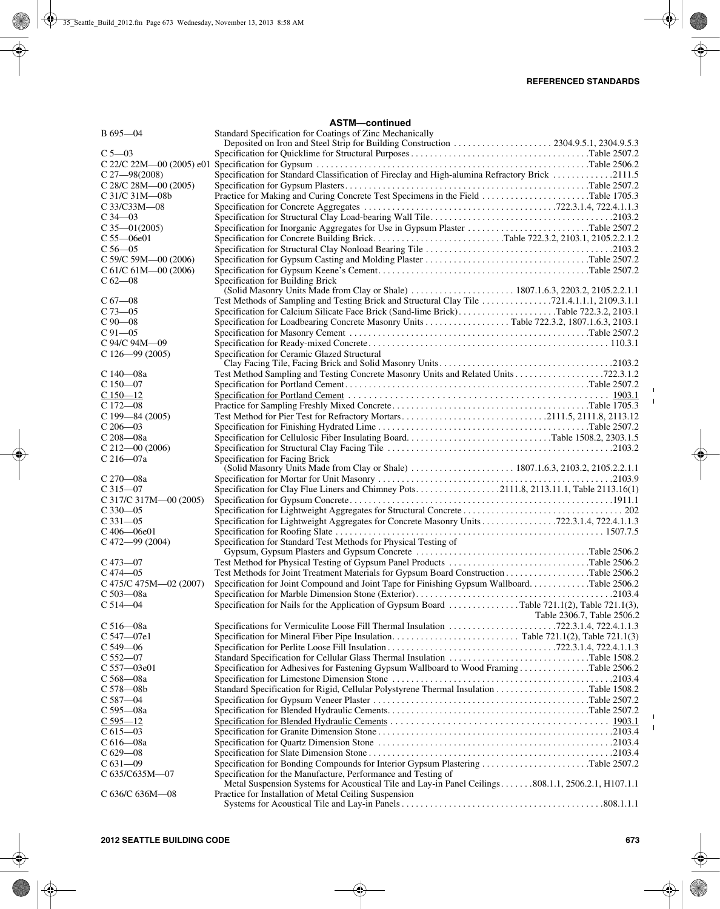## **ASTM—continued**

| $B\,695 - 04$                | Standard Specification for Coatings of Zinc Mechanically                                          |
|------------------------------|---------------------------------------------------------------------------------------------------|
|                              | Deposited on Iron and Steel Strip for Building Construction 2304.9.5.1, 2304.9.5.3                |
| $C$ 5–03                     |                                                                                                   |
|                              |                                                                                                   |
| $C$ 27-98(2008)              | Specification for Standard Classification of Fireclay and High-alumina Refractory Brick  2111.5   |
| C $28/C$ $28M - 00$ $(2005)$ |                                                                                                   |
| C 31/C 31M-08b               |                                                                                                   |
| C 33/C33M-08                 |                                                                                                   |
| $C$ 34 $-03$                 |                                                                                                   |
| $C$ 35-01(2005)              | Specification for Inorganic Aggregates for Use in Gypsum Plaster Table 2507.2                     |
| $C 55 - 06e01$               | Specification for Concrete Building BrickTable 722.3.2, 2103.1, 2105.2.2.1.2                      |
| $C$ 56 $-05$                 |                                                                                                   |
| C 59/C 59M $-00(2006)$       |                                                                                                   |
| C 61/C 61M-00 (2006)         |                                                                                                   |
| $C_{62}$ - 08                | Specification for Building Brick                                                                  |
|                              |                                                                                                   |
| $C 67 - 08$                  | Test Methods of Sampling and Testing Brick and Structural Clay Tile 221.4.1.1.1, 2109.3.1.1       |
| $C$ 73–05                    | Specification for Calcium Silicate Face Brick (Sand-lime Brick)Table 722.3.2, 2103.1              |
| $C_{90} - 08$                | Specification for Loadbearing Concrete Masonry Units Table 722.3.2, 1807.1.6.3, 2103.1            |
| $C\,91 - 05$                 |                                                                                                   |
| C 94/C 94M-09                |                                                                                                   |
| C $126 - 99(2005)$           | Specification for Ceramic Glazed Structural                                                       |
|                              |                                                                                                   |
| C 140-08a                    | Test Method Sampling and Testing Concrete Masonry Units and Related Units 722.3.1.2               |
| $C150 - 07$                  |                                                                                                   |
| $C150 - 12$                  |                                                                                                   |
| $C172 - 08$                  |                                                                                                   |
| C 199-84 (2005)              | Test Method for Pier Test for Refractory Mortars2111.5, 2111.8, 2113.12                           |
| $C.206 - 03$                 |                                                                                                   |
| C 208-08a                    | Specification for Cellulosic Fiber Insulating BoardTable 1508.2, 2303.1.5                         |
| $C$ 212-00 (2006)            |                                                                                                   |
| C 216-07a                    | Specification for Facing Brick                                                                    |
|                              |                                                                                                   |
| $C 270 - 08a$                |                                                                                                   |
| $C$ 315 $-07$                | Specification for Clay Flue Liners and Chimney Pots2111.8, 2113.11.1, Table 2113.16(1)            |
| C 317/C 317M-00 (2005)       |                                                                                                   |
| $C$ 330 $-05$                |                                                                                                   |
| $C$ 331-05                   | Specification for Lightweight Aggregates for Concrete Masonry Units 722.3.1.4, 722.4.1.1.3        |
| C 406-06e01                  |                                                                                                   |
| $C$ 472-99 (2004)            | Specification for Standard Test Methods for Physical Testing of                                   |
|                              |                                                                                                   |
| $C$ 473-07                   | Test Method for Physical Testing of Gypsum Panel Products Table 2506.2                            |
| $C$ 474 $-05$                | Test Methods for Joint Treatment Materials for Gypsum Board Construction Table 2506.2             |
| C 475/C 475M-02 (2007)       | Specification for Joint Compound and Joint Tape for Finishing Gypsum WallboardTable 2506.2        |
| $C 503 - 08a$                |                                                                                                   |
|                              |                                                                                                   |
| $C$ 514 $-04$                | Specification for Nails for the Application of Gypsum Board Table 721.1(2), Table 721.1(3),       |
|                              | Table 2306.7, Table 2506.2                                                                        |
| $C 516 - 08a$                | Specifications for Vermiculite Loose Fill Thermal Insulation 722.3.1.4, 722.4.1.1.3               |
| $C 547 - 07e1$               |                                                                                                   |
| $C$ 549 $-06$                |                                                                                                   |
| $C 552 - 07$                 |                                                                                                   |
| $C 557 - 03e01$              | Specification for Adhesives for Fastening Gypsum Wallboard to Wood FramingTable 2506.2            |
| C 568-08a                    |                                                                                                   |
| $C 578 - 08b$                |                                                                                                   |
| $C$ 587 $-04$                |                                                                                                   |
| C 595—08a                    |                                                                                                   |
| $C$ 595-12                   |                                                                                                   |
| $C 615 - 03$                 |                                                                                                   |
| $C 616 - 08a$                |                                                                                                   |
| $C$ 629 $-08$                |                                                                                                   |
| $C$ 631-09                   |                                                                                                   |
| C 635/C635M-07               | Specification for the Manufacture, Performance and Testing of                                     |
|                              | Metal Suspension Systems for Acoustical Tile and Lay-in Panel Ceilings808.1.1, 2506.2.1, H107.1.1 |
| C 636/C 636M-08              | Practice for Installation of Metal Ceiling Suspension                                             |
|                              |                                                                                                   |

 $\bar{\mathbf{I}}$  $\mathbf{I}$ 

 $\mathbf{I}$  $\mathbf{I}$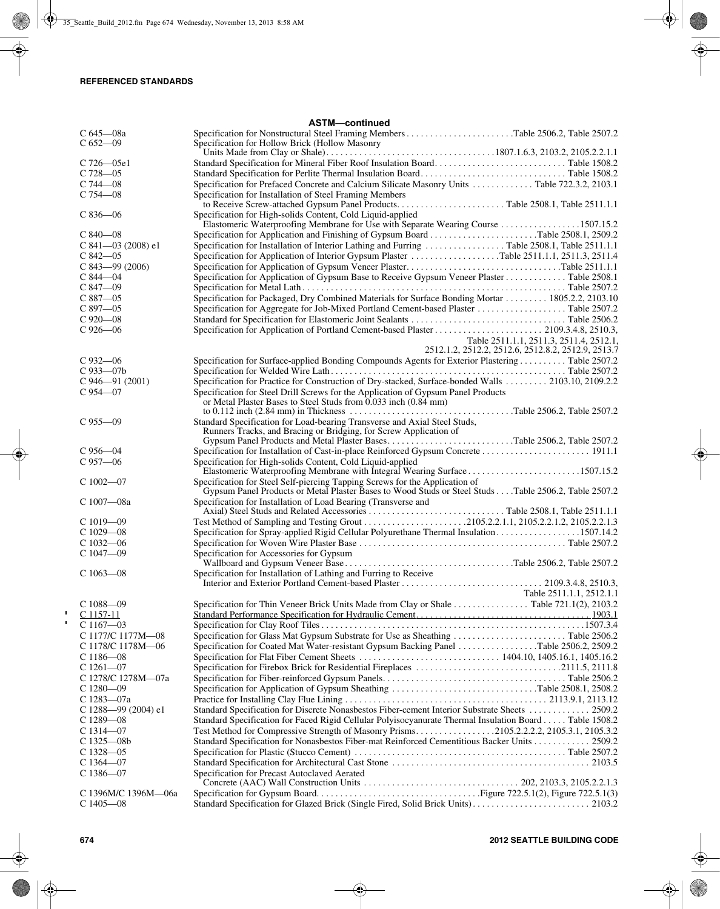|                                       | <b>ASTM-continued</b>                                                                                                                                                                  |
|---------------------------------------|----------------------------------------------------------------------------------------------------------------------------------------------------------------------------------------|
| $C$ 645—08a<br>C 652—09               | Specification for Hollow Brick (Hollow Masonry                                                                                                                                         |
|                                       |                                                                                                                                                                                        |
| C 726—05e1<br>$C$ 728-05              |                                                                                                                                                                                        |
| $C$ 744 $-08$                         |                                                                                                                                                                                        |
| $C$ 754 $-08$                         | Specification for Prefaced Concrete and Calcium Silicate Masonry Units  Table 722.3.2, 2103.1<br>Specification for Installation of Steel Framing Members                               |
|                                       |                                                                                                                                                                                        |
| C 836—06                              | Specification for High-solids Content, Cold Liquid-applied<br>Elastomeric Waterproofing Membrane for Use with Separate Wearing Course 1507.15.2                                        |
| $C840 - 08$                           |                                                                                                                                                                                        |
| $C$ 841 - 03 (2008) e1<br>$C842 - 05$ | Specification for Installation of Interior Lathing and Furring Table 2508.1, Table 2511.1.1<br>Specification for Application of Interior Gypsum Plaster Table 2511.1.1, 2511.3, 2511.4 |
| $C$ 843-99 (2006)                     |                                                                                                                                                                                        |
| $C844 - 04$                           | Specification for Application of Gypsum Base to Receive Gypsum Veneer Plaster  Table 2508.1                                                                                            |
| $C847 - 09$                           |                                                                                                                                                                                        |
| $C887 - 05$                           | Specification for Packaged, Dry Combined Materials for Surface Bonding Mortar  1805.2.2, 2103.10                                                                                       |
| $C$ 897 $-05$                         |                                                                                                                                                                                        |
| $C920 - 08$                           |                                                                                                                                                                                        |
| $C$ 926 $-06$                         |                                                                                                                                                                                        |
|                                       | Table 2511.1.1, 2511.3, 2511.4, 2512.1,                                                                                                                                                |
|                                       | 2512.1.2, 2512.2, 2512.6, 2512.8.2, 2512.9, 2513.7                                                                                                                                     |
| $C$ 932-06                            | Specification for Surface-applied Bonding Compounds Agents for Exterior Plastering Table 2507.2                                                                                        |
| $C$ 933—07b                           |                                                                                                                                                                                        |
| $C$ 946-91 (2001)                     | Specification for Practice for Construction of Dry-stacked, Surface-bonded Walls  2103.10, 2109.2.2                                                                                    |
| $C$ 954 $-07$                         | Specification for Steel Drill Screws for the Application of Gypsum Panel Products<br>or Metal Plaster Bases to Steel Studs from 0.033 inch (0.84 mm)                                   |
| $C$ 955-09                            | Standard Specification for Load-bearing Transverse and Axial Steel Studs,<br>Runners Tracks, and Bracing or Bridging, for Screw Application of                                         |
| $C$ 956-04                            | Gypsum Panel Products and Metal Plaster BasesTable 2506.2, Table 2507.2                                                                                                                |
| $C$ 957 $-06$                         | Specification for High-solids Content, Cold Liquid-applied<br>Elastomeric Waterproofing Membrane with Integral Wearing Surface1507.15.2                                                |
| C 1002—07                             | Specification for Steel Self-piercing Tapping Screws for the Application of<br>Gypsum Panel Products or Metal Plaster Bases to Wood Studs or Steel Studs Table 2506.2, Table 2507.2    |
| C 1007-08a                            | Specification for Installation of Load Bearing (Transverse and                                                                                                                         |
| $C1019 - 09$                          |                                                                                                                                                                                        |
| $C1029 - 08$                          | Specification for Spray-applied Rigid Cellular Polyurethane Thermal Insulation1507.14.2                                                                                                |
| $C1032 - 06$                          |                                                                                                                                                                                        |
| $C1047 - 09$                          | Specification for Accessories for Gypsum                                                                                                                                               |
| $C1063 - 08$                          | Specification for Installation of Lathing and Furring to Receive                                                                                                                       |
|                                       | . 2109.3.4.8, 2510.3,                                                                                                                                                                  |
|                                       | Table 2511.1.1, 2512.1.1                                                                                                                                                               |
| $C1088 - 09$                          | Specification for Thin Veneer Brick Units Made from Clay or Shale Table 721.1(2), 2103.2                                                                                               |
| C 1157-11                             |                                                                                                                                                                                        |
| C 1167—03                             |                                                                                                                                                                                        |
| C 1177/C 1177M-08                     |                                                                                                                                                                                        |
| C 1178/C 1178M-06                     | Specification for Coated Mat Water-resistant Gypsum Backing Panel Table 2506.2, 2509.2                                                                                                 |
| $C1186 - 08$                          |                                                                                                                                                                                        |
| C 1261—07                             | Specification for Firebox Brick for Residential Fireplaces 2111.5, 2111.8                                                                                                              |
| C 1278/C 1278M-07a                    |                                                                                                                                                                                        |
| $C1280 - 09$                          | Specification for Application of Gypsum Sheathing Table 2508.1, 2508.2                                                                                                                 |
| C 1283—07a                            |                                                                                                                                                                                        |
| C 1288-99 (2004) e1                   | Standard Specification for Discrete Nonasbestos Fiber-cement Interior Substrate Sheets  2509.2                                                                                         |
| $C1289 - 08$                          | Standard Specification for Faced Rigid Cellular Polyisocyanurate Thermal Insulation Board Table 1508.2                                                                                 |
| C 1314—07                             |                                                                                                                                                                                        |
| C 1325-08b                            | Standard Specification for Nonasbestos Fiber-mat Reinforced Cementitious Backer Units 2509.2                                                                                           |
| $C1328 - 05$                          |                                                                                                                                                                                        |
| C 1364-07                             |                                                                                                                                                                                        |
| $C1386 - 07$                          | Specification for Precast Autoclaved Aerated                                                                                                                                           |
| C 1396M/C 1396M—06a                   |                                                                                                                                                                                        |
| $C1405 - 08$                          |                                                                                                                                                                                        |

 $\frac{1}{1}$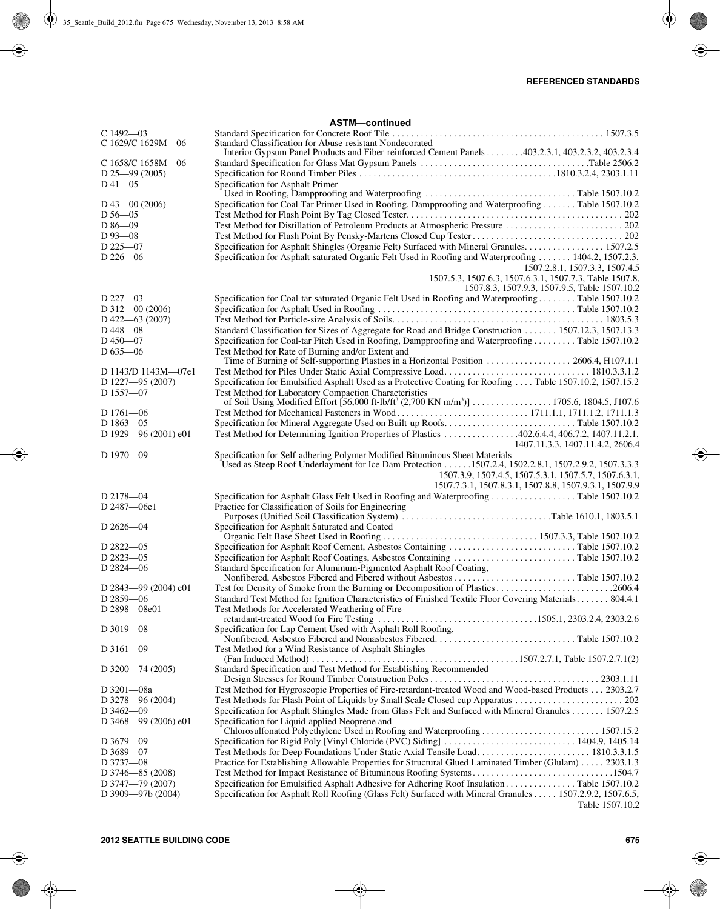| <b>ASTM-continued</b>      |                                                                                                                                                               |  |  |
|----------------------------|---------------------------------------------------------------------------------------------------------------------------------------------------------------|--|--|
| $C$ 1492—03                |                                                                                                                                                               |  |  |
| C 1629/C 1629M-06          | Standard Classification for Abuse-resistant Nondecorated<br>Interior Gypsum Panel Products and Fiber-reinforced Cement Panels 403.2.3.1, 403.2.3.2, 403.2.3.4 |  |  |
| C 1658/C 1658M-06          |                                                                                                                                                               |  |  |
| D $25 - 99(2005)$          |                                                                                                                                                               |  |  |
| $D41 - 05$                 | Specification for Asphalt Primer                                                                                                                              |  |  |
| $D$ 43-00 (2006)           | Specification for Coal Tar Primer Used in Roofing, Dampproofing and Waterproofing  Table 1507.10.2                                                            |  |  |
| $D\,56 - 05$               |                                                                                                                                                               |  |  |
| $D86 - 09$                 | Test Method for Distillation of Petroleum Products at Atmospheric Pressure  202                                                                               |  |  |
| $D93 - 08$                 |                                                                                                                                                               |  |  |
| $D$ 225 $-07$              | Specification for Asphalt Shingles (Organic Felt) Surfaced with Mineral Granules. 1507.2.5                                                                    |  |  |
| $D$ 226 - 06               | Specification for Asphalt-saturated Organic Felt Used in Roofing and Waterproofing  1404.2, 1507.2.3,                                                         |  |  |
|                            | 1507.2.8.1, 1507.3.3, 1507.4.5                                                                                                                                |  |  |
|                            | 1507.5.3, 1507.6.3, 1507.6.3.1, 1507.7.3, Table 1507.8,<br>1507.8.3, 1507.9.3, 1507.9.5, Table 1507.10.2                                                      |  |  |
| $D$ 227 $-03$              | Specification for Coal-tar-saturated Organic Felt Used in Roofing and Waterproofing Table 1507.10.2                                                           |  |  |
| $D$ 312 - 00 (2006)        |                                                                                                                                                               |  |  |
| D $422 - 63(2007)$         |                                                                                                                                                               |  |  |
| $D$ 448 $-08$              | Standard Classification for Sizes of Aggregate for Road and Bridge Construction  1507.12.3, 1507.13.3                                                         |  |  |
| $D$ 450 $-07$              | Specification for Coal-tar Pitch Used in Roofing, Dampproofing and Waterproofing Table 1507.10.2                                                              |  |  |
| $D\,635 - 06$              | Test Method for Rate of Burning and/or Extent and                                                                                                             |  |  |
| D 1143/D 1143M-07e1        |                                                                                                                                                               |  |  |
| D 1227-95 (2007)           | Specification for Emulsified Asphalt Used as a Protective Coating for Roofing  Table 1507.10.2, 1507.15.2                                                     |  |  |
| $D$ 1557-07                | Test Method for Laboratory Compaction Characteristics                                                                                                         |  |  |
|                            | of Soil Using Modified Effort [56,000 ft-lb/ft <sup>3</sup> (2,700 KN m/m <sup>3</sup> )] 1705.6, 1804.5, J107.6                                              |  |  |
| D $1761 - 06$              |                                                                                                                                                               |  |  |
| D 1863-05                  |                                                                                                                                                               |  |  |
| D 1929-96 (2001) e01       | Test Method for Determining Ignition Properties of Plastics 402.6.4.4, 406.7.2, 1407.11.2.1,                                                                  |  |  |
|                            | 1407.11.3.3, 1407.11.4.2, 2606.4                                                                                                                              |  |  |
| $D$ 1970—09                | Specification for Self-adhering Polymer Modified Bituminous Sheet Materials                                                                                   |  |  |
|                            | Used as Steep Roof Underlayment for Ice Dam Protection 1507.2.4, 1502.2.8.1, 1507.2.9.2, 1507.3.3.3                                                           |  |  |
|                            | 1507.3.9, 1507.4.5, 1507.5.3.1, 1507.5.7, 1507.6.3.1,                                                                                                         |  |  |
|                            | 1507.7.3.1, 1507.8.3.1, 1507.8.8, 1507.9.3.1, 1507.9.9                                                                                                        |  |  |
| $D$ 2178-04<br>D 2487-06e1 | Specification for Asphalt Glass Felt Used in Roofing and Waterproofing Table 1507.10.2<br>Practice for Classification of Soils for Engineering                |  |  |
|                            | Purposes (Unified Soil Classification System) Table 1610.1, 1803.5.1                                                                                          |  |  |
| $D$ 2626 - 04              | Specification for Asphalt Saturated and Coated                                                                                                                |  |  |
|                            |                                                                                                                                                               |  |  |
| D 2822-05                  |                                                                                                                                                               |  |  |
| D 2823-05                  | Specification for Asphalt Roof Coatings, Asbestos Containing Table 1507.10.2                                                                                  |  |  |
| $D$ 2824 $-06$             | Standard Specification for Aluminum-Pigmented Asphalt Roof Coating,                                                                                           |  |  |
|                            |                                                                                                                                                               |  |  |
| D 2843-99 (2004) e01       | Test for Density of Smoke from the Burning or Decomposition of Plastics2606.4                                                                                 |  |  |
| $D$ 2859 $-06$             | Standard Test Method for Ignition Characteristics of Finished Textile Floor Covering Materials 804.4.1                                                        |  |  |
| D 2898-08e01               | Test Methods for Accelerated Weathering of Fire-                                                                                                              |  |  |
| $D$ 3019 $-08$             | Specification for Lap Cement Used with Asphalt Roll Roofing,                                                                                                  |  |  |
|                            |                                                                                                                                                               |  |  |
| $D$ 3161-09                | Test Method for a Wind Resistance of Asphalt Shingles                                                                                                         |  |  |
| D 3200-74 (2005)           | Standard Specification and Test Method for Establishing Recommended                                                                                           |  |  |
| D 3201-08a                 | Test Method for Hygroscopic Properties of Fire-retardant-treated Wood and Wood-based Products 2303.2.7                                                        |  |  |
| D 3278-96 (2004)           |                                                                                                                                                               |  |  |
| $D$ 3462-09                | Specification for Asphalt Shingles Made from Glass Felt and Surfaced with Mineral Granules 1507.2.5                                                           |  |  |
| D 3468-99 (2006) e01       | Specification for Liquid-applied Neoprene and                                                                                                                 |  |  |
|                            |                                                                                                                                                               |  |  |
| $D$ 3679-09                |                                                                                                                                                               |  |  |
| D 3689-07                  | Test Methods for Deep Foundations Under Static Axial Tensile Load 1810.3.3.1.5                                                                                |  |  |
| $D$ 3737-08                | Practice for Establishing Allowable Properties for Structural Glued Laminated Timber (Glulam)  2303.1.3                                                       |  |  |
| D $3746 - 85(2008)$        | Test Method for Impact Resistance of Bituminous Roofing Systems1504.7                                                                                         |  |  |
| D 3747-79 (2007)           |                                                                                                                                                               |  |  |
| D 3909-97b (2004)          | Specification for Asphalt Roll Roofing (Glass Felt) Surfaced with Mineral Granules 1507.2.9.2, 1507.6.5,                                                      |  |  |
|                            | Table 1507.10.2                                                                                                                                               |  |  |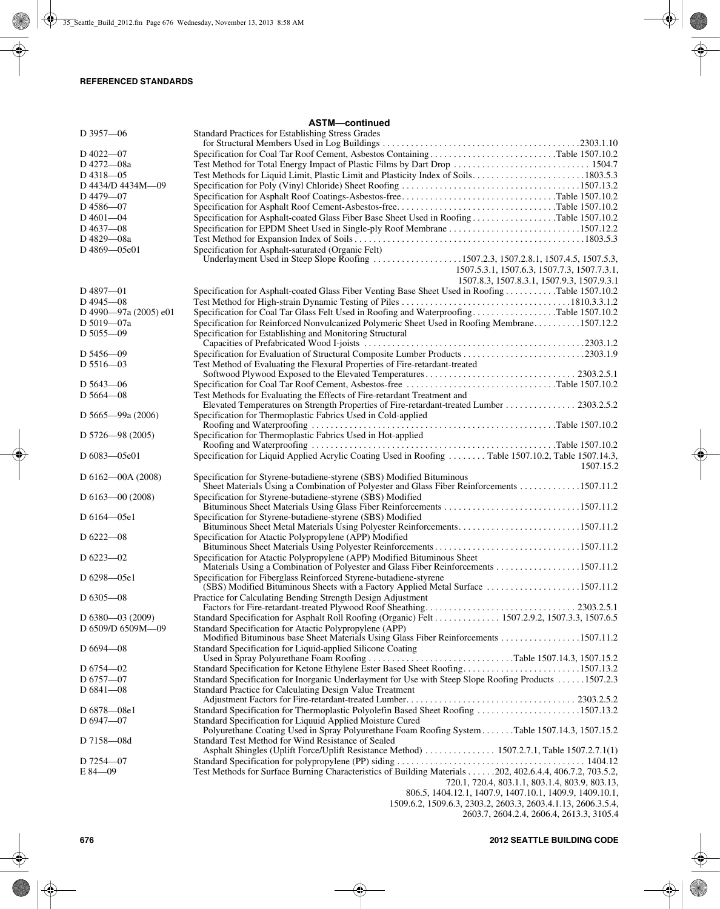## **ASTM—continued** D 3957—06 Standard Practices for Establishing Stress Grades for Structural Members Used in Log Buildings . . . . . . . . . . . . . . . . . . . . . . . . . . . . . . . . . . . . . . . . . .2303.1.10 D 4022—07 Specification for Coal Tar Roof Cement, Asbestos Containing . . . . . . . . . . . . . . . . . . . . . . . . . . .Table 1507.10.2 D 4272—08a Test Method for Total Energy Impact of Plastic Films by Dart Drop . . . . . . . . . . . . . . . . . . . . . . . . . . . . . 1504.7 D 4318—05 Test Methods for Liquid Limit, Plastic Limit and Plasticity Index of Soils. . . . . . . . . . . . . . . . . . . . . . . .1803.5.3 D 4434/D 4434M—09 Specification for Poly (Vinyl Chloride) Sheet Roofing . . . . . . . . . . . . . . . . . . . . . . . . . . . . . . . . . . . . . .1507.13.2 D 4479—07 Specification for Asphalt Roof Coatings-Asbestos-free. . . . . . . . . . . . . . . . . . . . . . . . . . . . . . . . .Table 1507.10.2 D 4586—07 Specification for Asphalt Roof Cement-Asbestos-free. . . . . . . . . . . . . . . . . . . . . . . . . . . . . . . . . .Table 1507.10.2 D 4601—04 Specification for Asphalt-coated Glass Fiber Base Sheet Used in Roofing . . . . . . . . . . . . . . . . . .Table 1507.10.2 D 4637—08 Specification for EPDM Sheet Used in Single-ply Roof Membrane . . . . . . . . . . . . . . . . . . . . . . . . . . . .1507.12.2 D 4829—08a Test Method for Expansion Index of Soils . . . . . . . . . . . . . . . . . . . . . . . . . . . . . . . . . . . . . . . . . . . . . . . . .1803.5.3 Specification for Asphalt-saturated (Organic Felt) Underlayment Used in Steep Slope Roofing . . . . . . . . . . . . . . . . . . 1507.2.3, 1507.2.8.1, 1507.4.5, 1507.5.3, 1507.5.3.1, 1507.6.3, 1507.7.3, 1507.7.3.1, 1507.8.3, 1507.8.3.1, 1507.9.3, 1507.9.3.1 D 4897—01 Specification for Asphalt-coated Glass Fiber Venting Base Sheet Used in Roofing . . . . . . . . . . . . . . Table 1507.10.2<br>D 4945—08 Test Method for High-strain Dynamic Testing of Piles . . . . . . . . . . . . . D 4945—08 Test Method for High-strain Dynamic Testing of Piles . . . . . . . . . . . . . . . . . . . . . . . . . . . . . . . . . . . .1810.3.3.1.2 D 4990—97a (2005) e01 Specification for Coal Tar Glass Felt Used in Roofing and Waterproofing. . . . . . . . . . . . . . . . . .Table 1507.10.2 Specification for Reinforced Nonvulcanized Polymeric Sheet Used in Roofing Membrane. . . . . . . . . . . 1507.12.2 D 5055—09 Specification for Establishing and Monitoring Structural Capacities of Prefabricated Wood I-joists . . . . . . . . . . . . . . . . . . . . . . . . . . . . . . . . . . . . . . . . . . . . . . .2303.1.2 D 5456—09 Specification for Evaluation of Structural Composite Lumber Products . . . . . . . . . . . . . . . . . . . . . . . . . .2303.1.9 Test Method of Evaluating the Flexural Properties of Fire-retardant-treated Softwood Plywood Exposed to the Elevated Temperatures . . . . . . . . . . . . . . . . . . . . . . . . . . . . . . . . 2303.2.5.1 D 5643—06 Specification for Coal Tar Roof Cement, Asbestos-free . . . . . . . . . . . . . . . . . . . . . . . . . . . . . . . .Table 1507.10.2 Test Methods for Evaluating the Effects of Fire-retardant Treatment and Elevated Temperatures on Strength Properties of Fire-retardant-treated Lumber . . . . . . . . . . . . . . . 2303.2.5.2 D 5665—99a (2006) Specification for Thermoplastic Fabrics Used in Cold-applied Roofing and Waterproofing . . . . . . . . . . . . . . . . . . . . . . . . . . . . . . . . . . . . . . . . . . . . . . . . . . . .Table 1507.10.2 D 5726—98 (2005) Specification for Thermoplastic Fabrics Used in Hot-applied Roofing and Waterproofing . . . . . . . . . . . . . . . . . . . . . . . . . . . . . . . . . . . . . . . . . . . . . . . . . . . .Table 1507.10.2 D 6083—05e01 Specification for Liquid Applied Acrylic Coating Used in Roofing . . . . . . . . Table 1507.10.2, Table 1507.14.3, 1507.15.2 D 6162—00A (2008) Specification for Styrene-butadiene-styrene (SBS) Modified Bituminous Sheet Materials Using a Combination of Polyester and Glass Fiber Reinforcements . . . . . . . . . . . . .1507.11.2 D 6163—00 (2008) Specification for Styrene-butadiene-styrene (SBS) Modified Bituminous Sheet Materials Using Glass Fiber Reinforcements . . . . . . . . . . . . . . . . . . . . . . . . . . . . .1507.11.2 D 6164—05e1 Specification for Styrene-butadiene-styrene (SBS) Modified Bituminous Sheet Metal Materials Using Polyester Reinforcements. . . . . . . . . . . . . . . . . . . . . . . . . .1507.11.2 D 6222—08 Specification for Atactic Polypropylene (APP) Modified Bituminous Sheet Materials Using Polyester Reinforcements . . . . . . . . . . . . . . . . . . . . . . . . . . . . . . .1507.11.2 D 6223—02 Specification for Atactic Polypropylene (APP) Modified Bituminous Sheet Materials Using a Combination of Polyester and Glass Fiber Reinforcements . . . . . . . . . . . . . . . . . .1507.11.2 D 6298—05e1 Specification for Fiberglass Reinforced Styrene-butadiene-styrene (SBS) Modified Bituminous Sheets with a Factory Applied Metal Surface . . . . . . . . . . . . . . . . . . . .1507.11.2 D 6305—08 Practice for Calculating Bending Strength Design Adjustment Factors for Fire-retardant-treated Plywood Roof Sheathing. . . . . . . . . . . . . . . . . . . . . . . . . . . . . . . . 2303.2.5.1 D 6380—03 (2009) Standard Specification for Asphalt Roll Roofing (Organic) Felt . . . . . . . . . . . . . . 1507.2.9.2, 1507.3.3, 1507.6.5 D 6509/D 6509M—09 Standard Specification for Atactic Polypropylene (APP) Modified Bituminous base Sheet Materials Using Glass Fiber Reinforcements . . . . . . . . . . . . . . . . .1507.11.2 D 6694—08 Standard Specification for Liquid-applied Silicone Coating Used in Spray Polyurethane Foam Roofing . . . . . . . . . . . . . . . . . . . . . . . . . . . . . . .Table 1507.14.3, 1507.15.2 D 6754—02 Standard Specification for Ketone Ethylene Ester Based Sheet Roofing. . . . . . . . . . . . . . . . . . . . . . . . .1507.13.2 D 6757—07 Standard Specification for Inorganic Underlayment for Use with Steep Slope Roofing Products . . . . . .1507.2.3 D 6841—08 Standard Practice for Calculating Design Value Treatment Adjustment Factors for Fire-retardant-treated Lumber. . . . . . . . . . . . . . . . . . . . . . . . . . . . . . . . . . . . 2303.2.5.2 D 6878—08e1 Standard Specification for Thermoplastic Polyolefin Based Sheet Roofing . . . . . . . . . . . . . . . . . . . . . .1507.13.2 D 6947—07 Standard Specification for Liquuid Applied Moisture Cured Polyurethane Coating Used in Spray Polyurethane Foam Roofing System . . . . . . .Table 1507.14.3, 1507.15.2 D 7158—08d Standard Test Method for Wind Resistance of Sealed Asphalt Shingles (Uplift Force/Uplift Resistance Method) . . . . . . . . . . . . . . . 1507.2.7.1, Table 1507.2.7.1(1) D 7254—07 Standard Specification for polypropylene (PP) siding . . . . . . . . . . . . . . . . . . . . . . . . . . . . . . . . . . . . . . . . 1404.12 Test Methods for Surface Burning Characteristics of Building Materials . . . . . . 202, 402.6.4.4, 406.7.2, 703.5.2, 720.1, 720.4, 803.1.1, 803.1.4, 803.9, 803.13, 806.5, 1404.12.1, 1407.9, 1407.10.1, 1409.9, 1409.10.1, 1509.6.2, 1509.6.3, 2303.2, 2603.3, 2603.4.1.13, 2606.3.5.4,

## 2603.7, 2604.2.4, 2606.4, 2613.3, 3105.4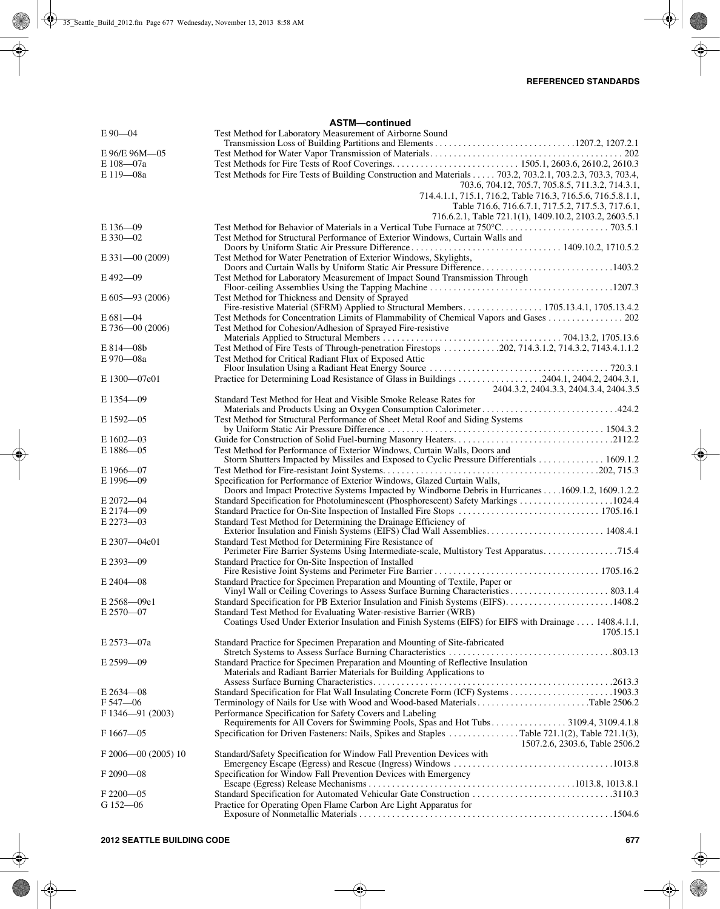| <b>ASTM-continued</b>    |                                                                                                                                                                           |  |
|--------------------------|---------------------------------------------------------------------------------------------------------------------------------------------------------------------------|--|
| $E90 - 04$               | Test Method for Laboratory Measurement of Airborne Sound                                                                                                                  |  |
|                          |                                                                                                                                                                           |  |
| E 96/E 96M-05            |                                                                                                                                                                           |  |
| E 108-07a                |                                                                                                                                                                           |  |
| E 119-08a                | Test Methods for Fire Tests of Building Construction and Materials 703.2, 703.2.1, 703.2.3, 703.3, 703.4,                                                                 |  |
|                          | 703.6, 704.12, 705.7, 705.8.5, 711.3.2, 714.3.1,                                                                                                                          |  |
|                          | 714.4.1.1, 715.1, 716.2, Table 716.3, 716.5.6, 716.5.8.1.1,                                                                                                               |  |
|                          | Table 716.6, 716.6.7.1, 717.5.2, 717.5.3, 717.6.1,                                                                                                                        |  |
|                          | 716.6.2.1, Table 721.1(1), 1409.10.2, 2103.2, 2603.5.1                                                                                                                    |  |
| $E136 - 09$              |                                                                                                                                                                           |  |
| E 330-02                 | Test Method for Structural Performance of Exterior Windows, Curtain Walls and                                                                                             |  |
| $E$ 331-00 (2009)        | Test Method for Water Penetration of Exterior Windows, Skylights,                                                                                                         |  |
|                          | Doors and Curtain Walls by Uniform Static Air Pressure Difference1403.2                                                                                                   |  |
| $E$ 492-09               | Test Method for Laboratory Measurement of Impact Sound Transmission Through                                                                                               |  |
|                          |                                                                                                                                                                           |  |
| E 605-93 (2006)          | Test Method for Thickness and Density of Sprayed                                                                                                                          |  |
|                          |                                                                                                                                                                           |  |
| $E681 - 04$              | Test Methods for Concentration Limits of Flammability of Chemical Vapors and Gases 202                                                                                    |  |
| $E$ 736—00 (2006)        | Test Method for Cohesion/Adhesion of Sprayed Fire-resistive                                                                                                               |  |
|                          |                                                                                                                                                                           |  |
| $E814 - 08b$             | Test Method of Fire Tests of Through-penetration Firestops 202, 714.3.1.2, 714.3.2, 7143.4.1.1.2                                                                          |  |
| E 970-08a                | Test Method for Critical Radiant Flux of Exposed Attic                                                                                                                    |  |
|                          |                                                                                                                                                                           |  |
| E 1300-07e01             | 2404.3.2, 2404.3.3, 2404.3.4, 2404.3.5                                                                                                                                    |  |
| $E1354 - 09$             | Standard Test Method for Heat and Visible Smoke Release Rates for                                                                                                         |  |
|                          |                                                                                                                                                                           |  |
| E 1592-05                | Test Method for Structural Performance of Sheet Metal Roof and Siding Systems                                                                                             |  |
|                          |                                                                                                                                                                           |  |
| $E1602 - 03$             |                                                                                                                                                                           |  |
| E 1886-05                | Test Method for Performance of Exterior Windows, Curtain Walls, Doors and                                                                                                 |  |
|                          | Storm Shutters Impacted by Missiles and Exposed to Cyclic Pressure Differentials 1609.1.2                                                                                 |  |
| $E1966 - 07$             |                                                                                                                                                                           |  |
| E 1996-09                | Specification for Performance of Exterior Windows, Glazed Curtain Walls,                                                                                                  |  |
|                          | Doors and Impact Protective Systems Impacted by Windborne Debris in Hurricanes 1609.1.2.1609.1.2.2                                                                        |  |
| $E$ 2072-04<br>E 2174-09 |                                                                                                                                                                           |  |
| $E$ 2273-03              | Standard Test Method for Determining the Drainage Efficiency of                                                                                                           |  |
|                          | Exterior Insulation and Finish Systems (EIFS) Clad Wall Assemblies 1408.4.1                                                                                               |  |
| E 2307-04e01             | Standard Test Method for Determining Fire Resistance of                                                                                                                   |  |
|                          | Perimeter Fire Barrier Systems Using Intermediate-scale, Multistory Test Apparatus. 715.4                                                                                 |  |
| $E$ 2393-09              | Standard Practice for On-Site Inspection of Installed                                                                                                                     |  |
|                          |                                                                                                                                                                           |  |
| $E$ 2404 $-$ 08          | Standard Practice for Specimen Preparation and Mounting of Textile, Paper or                                                                                              |  |
|                          |                                                                                                                                                                           |  |
| E 2568-09e1              |                                                                                                                                                                           |  |
| $E$ 2570 $-$ 07          | Standard Test Method for Evaluating Water-resistive Barrier (WRB)<br>Coatings Used Under Exterior Insulation and Finish Systems (EIFS) for EIFS with Drainage 1408.4.1.1, |  |
|                          | 1705.15.1                                                                                                                                                                 |  |
| E 2573-07a               | Standard Practice for Specimen Preparation and Mounting of Site-fabricated                                                                                                |  |
|                          |                                                                                                                                                                           |  |
| $E$ 2599 $-09$           | Standard Practice for Specimen Preparation and Mounting of Reflective Insulation                                                                                          |  |
|                          | Materials and Radiant Barrier Materials for Building Applications to                                                                                                      |  |
|                          |                                                                                                                                                                           |  |
| $E$ 2634 $-08$           |                                                                                                                                                                           |  |
| $F$ 547 $-06$            |                                                                                                                                                                           |  |
| $F1346 - 91(2003)$       | Performance Specification for Safety Covers and Labeling                                                                                                                  |  |
|                          |                                                                                                                                                                           |  |
| $F1667 - 05$             | Specification for Driven Fasteners: Nails, Spikes and Staples Table 721.1(2), Table 721.1(3),<br>1507.2.6, 2303.6, Table 2506.2                                           |  |
| $F 2006 - 00(2005)10$    | Standard/Safety Specification for Window Fall Prevention Devices with                                                                                                     |  |
|                          |                                                                                                                                                                           |  |
| $F2090 - 08$             | Specification for Window Fall Prevention Devices with Emergency                                                                                                           |  |
|                          |                                                                                                                                                                           |  |
| $F2200 - 05$             | Standard Specification for Automated Vehicular Gate Construction 3110.3                                                                                                   |  |
| $G152 - 06$              | Practice for Operating Open Flame Carbon Arc Light Apparatus for                                                                                                          |  |
|                          |                                                                                                                                                                           |  |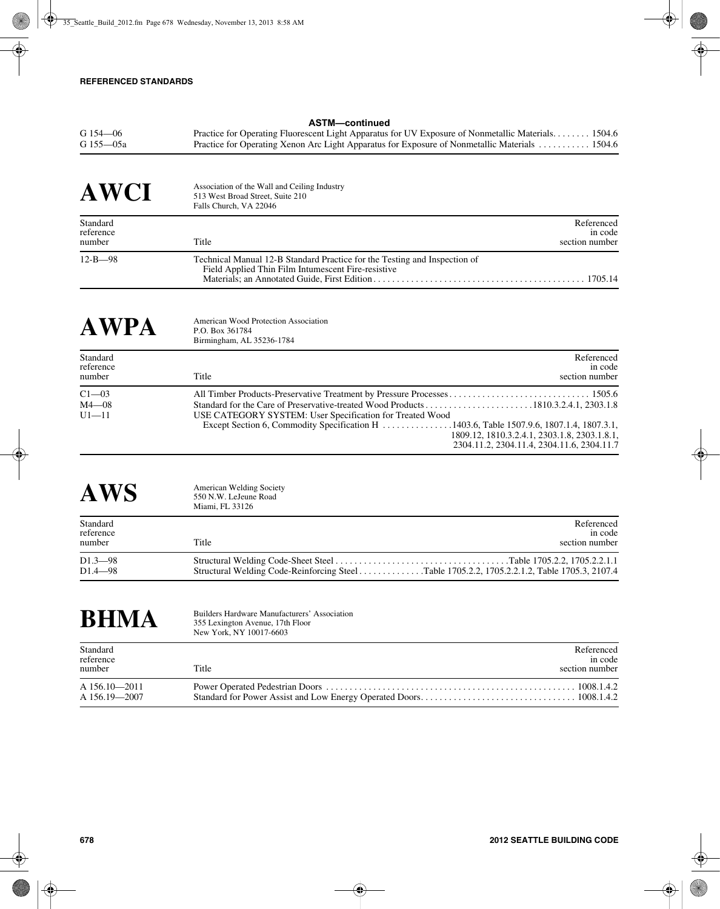## **ASTM—continued**

| $G154 - 06$ | Practice for Operating Fluorescent Light Apparatus for UV Exposure of Nonmetallic Materials. 1504.6 |  |
|-------------|-----------------------------------------------------------------------------------------------------|--|
| G 155—05a   | Practice for Operating Xenon Arc Light Apparatus for Exposure of Nonmetallic Materials  1504.6      |  |

| <b>AWCI</b>                     | Association of the Wall and Ceiling Industry<br>513 West Broad Street, Suite 210<br>Falls Church, VA 22046                      |                                         |
|---------------------------------|---------------------------------------------------------------------------------------------------------------------------------|-----------------------------------------|
| Standard<br>reference<br>number | Title                                                                                                                           | Referenced<br>in code<br>section number |
| $12 - B - 98$                   | Technical Manual 12-B Standard Practice for the Testing and Inspection of<br>Field Applied Thin Film Intumescent Fire-resistive |                                         |

| <b>AWPA</b>                         | American Wood Protection Association<br>P.O. Box 361784<br>Birmingham, AL 35236-1784                                                                                                                                                              |
|-------------------------------------|---------------------------------------------------------------------------------------------------------------------------------------------------------------------------------------------------------------------------------------------------|
| Standard<br>reference<br>number     | Referenced<br>in code<br>Title<br>section number                                                                                                                                                                                                  |
| $C1 - 03$<br>$M4 - 08$<br>$U1 - 11$ | USE CATEGORY SYSTEM: User Specification for Treated Wood<br>Except Section 6, Commodity Specification H 1403.6, Table 1507.9.6, 1807.1.4, 1807.3.1,<br>1809.12, 1810.3.2.4.1, 2303.1.8, 2303.1.8.1,<br>2304.11.2, 2304.11.4, 2304.11.6, 2304.11.7 |

| <b>AWS</b>                      | American Welding Society<br>550 N.W. LeJeune Road<br>Miami, FL 33126                         |                                         |
|---------------------------------|----------------------------------------------------------------------------------------------|-----------------------------------------|
| Standard<br>reference<br>number | Title                                                                                        | Referenced<br>in code<br>section number |
| $D1.3 - 98$<br>$D1.4 - 98$      | Structural Welding Code-Reinforcing Steel Table 1705.2.2, 1705.2.2.1.2, Table 1705.3, 2107.4 |                                         |

| <b>BHMA</b>                        | Builders Hardware Manufacturers' Association<br>355 Lexington Avenue, 17th Floor<br>New York, NY 10017-6603 |                                         |
|------------------------------------|-------------------------------------------------------------------------------------------------------------|-----------------------------------------|
| Standard<br>reference<br>number    | Title                                                                                                       | Referenced<br>in code<br>section number |
| $A$ 156.10 - 2011<br>A 156.19-2007 |                                                                                                             |                                         |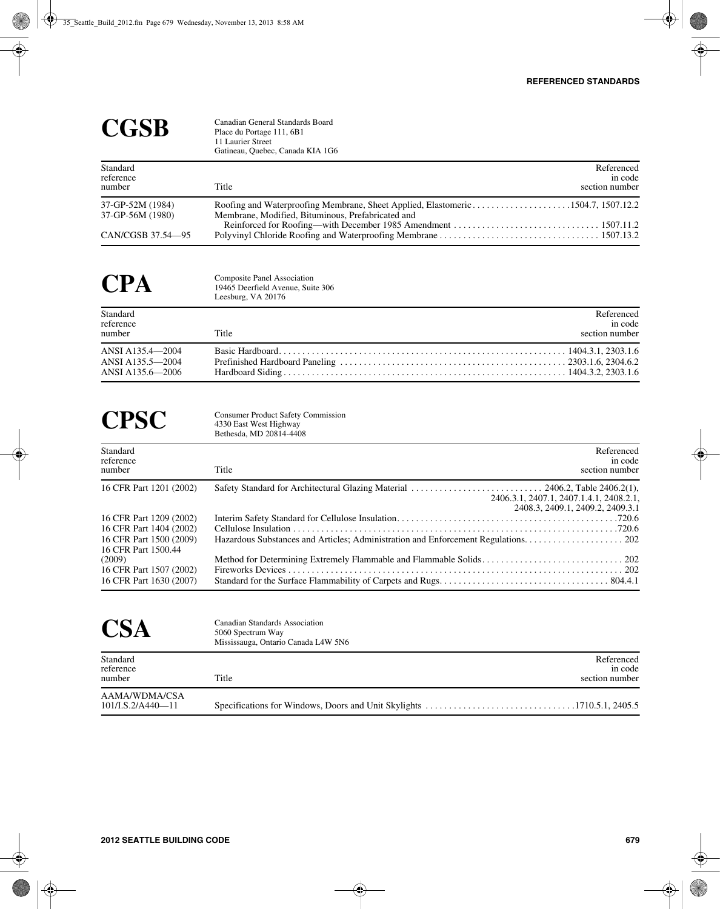| <b>CGSB</b>                          | Canadian General Standards Board<br>Place du Portage 111, 6B1<br>11 Laurier Street<br>Gatineau, Quebec, Canada KIA 1G6               |
|--------------------------------------|--------------------------------------------------------------------------------------------------------------------------------------|
| Standard<br>reference<br>number      | Referenced<br>in code<br>Title<br>section number                                                                                     |
| 37-GP-52M (1984)<br>37-GP-56M (1980) | Roofing and Waterproofing Membrane, Sheet Applied, Elastomeric1504.7, 1507.12.2<br>Membrane, Modified, Bituminous, Prefabricated and |
| CAN/CGSB 37.54-95                    |                                                                                                                                      |

| <b>CPA</b>                                               | <b>Composite Panel Association</b><br>19465 Deerfield Avenue, Suite 306<br>Leesburg, VA 20176 |                                         |
|----------------------------------------------------------|-----------------------------------------------------------------------------------------------|-----------------------------------------|
| Standard<br>reference<br>number                          | Title                                                                                         | Referenced<br>in code<br>section number |
| ANSI A135.4-2004<br>ANSI A135.5-2004<br>ANSI A135.6-2006 |                                                                                               |                                         |

**CPSC** Consumer Product Safety Commission<br>  $\sum_{\text{Berbeda} \text{ MD 20814.4408}}$ Bethesda, MD 20814-4408

| Standard<br>reference<br>number                    | Referenced<br>in code<br>section number<br>Title                            |
|----------------------------------------------------|-----------------------------------------------------------------------------|
| 16 CFR Part 1201 (2002)                            | 2406.3.1, 2407.1, 2407.1.4.1, 2408.2.1,<br>2408.3, 2409.1, 2409.2, 2409.3.1 |
| 16 CFR Part 1209 (2002)<br>16 CFR Part 1404 (2002) |                                                                             |
| 16 CFR Part 1500 (2009)<br>16 CFR Part 1500.44     |                                                                             |
| (2009)<br>16 CFR Part 1507 (2002)                  |                                                                             |
| 16 CFR Part 1630 (2007)                            |                                                                             |

| <b>CSA</b>                            | <b>Canadian Standards Association</b><br>5060 Spectrum Way<br>Mississauga, Ontario Canada L4W 5N6 |                                         |
|---------------------------------------|---------------------------------------------------------------------------------------------------|-----------------------------------------|
| Standard<br>reference<br>number       | Title                                                                                             | Referenced<br>in code<br>section number |
| AAMA/WDMA/CSA<br>$101$ /I.S.2/A440-11 |                                                                                                   |                                         |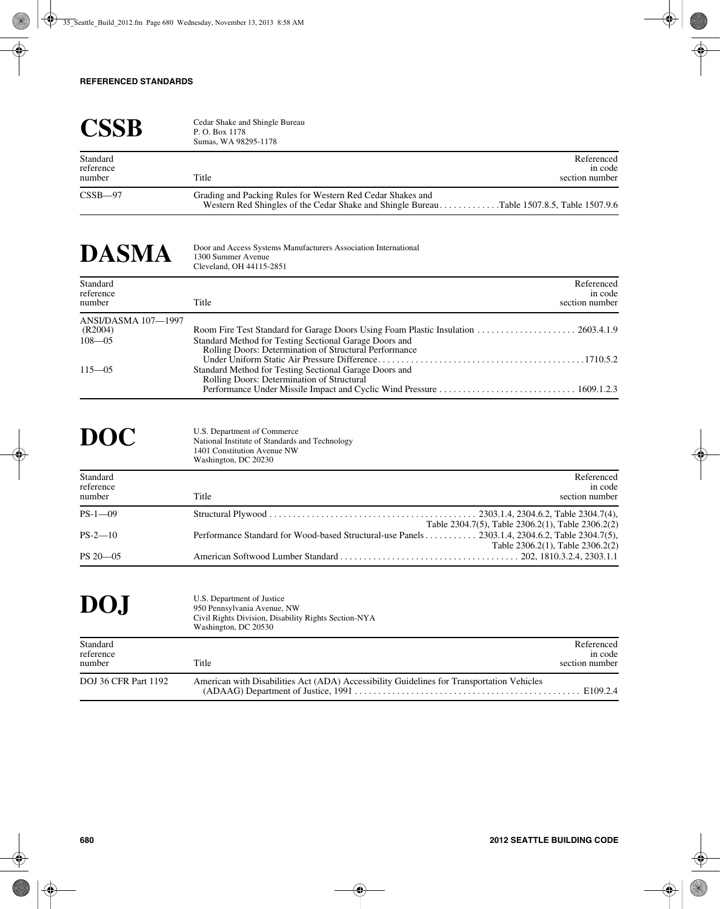|                       | Cedar Shake and Shingle Bureau<br>P. O. Box 1178<br>Sumas, WA 98295-1178                                                                               |                       |
|-----------------------|--------------------------------------------------------------------------------------------------------------------------------------------------------|-----------------------|
| Standard<br>reference |                                                                                                                                                        | Referenced<br>in code |
| number                | Title                                                                                                                                                  | section number        |
| $CSSB - 97$           | Grading and Packing Rules for Western Red Cedar Shakes and<br>Western Red Shingles of the Cedar Shake and Shingle BureauTable 1507.8.5, Table 1507.9.6 |                       |

| <b>DASMA</b>                    | Door and Access Systems Manufacturers Association International<br>1300 Summer Avenue<br>Cleveland, OH 44115-2851 |                                         |
|---------------------------------|-------------------------------------------------------------------------------------------------------------------|-----------------------------------------|
| Standard<br>reference<br>number | Title                                                                                                             | Referenced<br>in code<br>section number |
| <b>ANSI/DASMA 107-1997</b>      |                                                                                                                   |                                         |
| (R2004)                         |                                                                                                                   |                                         |
| $108 - 05$                      | Standard Method for Testing Sectional Garage Doors and                                                            |                                         |
|                                 | Rolling Doors: Determination of Structural Performance                                                            |                                         |
| $115 - 05$                      |                                                                                                                   |                                         |
|                                 | Standard Method for Testing Sectional Garage Doors and<br>Rolling Doors: Determination of Structural              |                                         |
|                                 |                                                                                                                   |                                         |

| <b>DOC</b>                      | U.S. Department of Commerce<br>National Institute of Standards and Technology<br>1401 Constitution Avenue NW<br>Washington, DC 20230 |
|---------------------------------|--------------------------------------------------------------------------------------------------------------------------------------|
| Standard<br>reference<br>number | Referenced<br>in code<br>section number<br>Title                                                                                     |
| $PS-1-09$                       | Table 2304.7(5), Table 2306.2(1), Table 2306.2(2)                                                                                    |
| $PS-2-10$                       | Performance Standard for Wood-based Structural-use Panels 2303.1.4, 2304.6.2, Table 2304.7(5),<br>Table 2306.2(1), Table 2306.2(2)   |
| $PS 20 - 05$                    |                                                                                                                                      |

| DO.J                            | U.S. Department of Justice<br>950 Pennsylvania Avenue, NW<br>Civil Rights Division, Disability Rights Section-NYA<br>Washington, DC 20530 |                                         |
|---------------------------------|-------------------------------------------------------------------------------------------------------------------------------------------|-----------------------------------------|
| Standard<br>reference<br>number | Title                                                                                                                                     | Referenced<br>in code<br>section number |
| <b>DOJ 36 CFR Part 1192</b>     | American with Disabilities Act (ADA) Accessibility Guidelines for Transportation Vehicles                                                 | E109.2.4                                |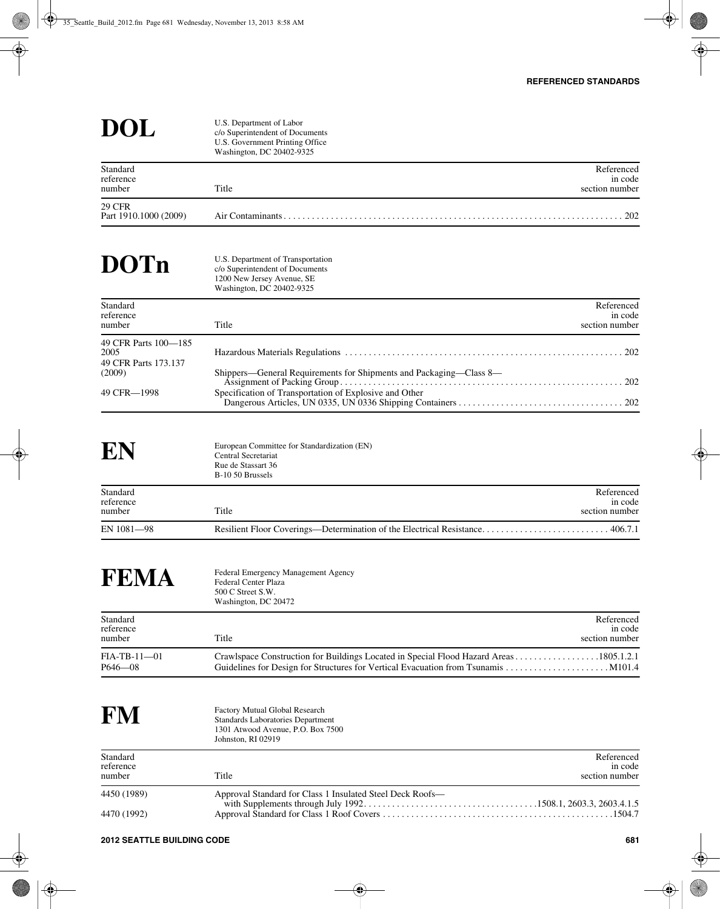| <b>DOL</b>                                                     | U.S. Department of Labor<br>c/o Superintendent of Documents<br>U.S. Government Printing Office<br>Washington, DC 20402-9325           |
|----------------------------------------------------------------|---------------------------------------------------------------------------------------------------------------------------------------|
| Standard                                                       | Referenced                                                                                                                            |
| reference<br>number                                            | in code<br>Title<br>section number                                                                                                    |
| <b>29 CFR</b><br>Part 1910.1000 (2009)                         |                                                                                                                                       |
| <b>DOTn</b>                                                    | U.S. Department of Transportation<br>c/o Superintendent of Documents<br>1200 New Jersey Avenue, SE<br>Washington, DC 20402-9325       |
| Standard<br>reference<br>number                                | Referenced<br>in code<br>Title<br>section number                                                                                      |
| 49 CFR Parts 100-185<br>2005<br>49 CFR Parts 173.137<br>(2009) | 202<br>Shippers-General Requirements for Shipments and Packaging-Class 8-                                                             |
| 49 CFR-1998                                                    | Specification of Transportation of Explosive and Other                                                                                |
| EN                                                             | European Committee for Standardization (EN)<br>Central Secretariat<br>Rue de Stassart 36<br>B-10 50 Brussels                          |
| Standard<br>reference<br>number                                | Referenced<br>in code<br>Title<br>section number                                                                                      |
| EN 1081-98                                                     | Resilient Floor Coverings—Determination of the Electrical Resistance 406.7.1                                                          |
| F E V                                                          | Federal Emergency Management Agency<br>Federal Center Plaza<br>500 C Street S.W.<br>Washington, DC 20472                              |
| Standard<br>reference<br>number                                | Referenced<br>in code<br>Title<br>section number                                                                                      |
| $FIA-TB-11-01$<br>$P646 - 08$                                  | Crawlspace Construction for Buildings Located in Special Flood Hazard Areas 1805.1.2.1                                                |
| FM                                                             | <b>Factory Mutual Global Research</b><br>Standards Laboratories Department<br>1301 Atwood Avenue, P.O. Box 7500<br>Johnston, RI 02919 |
| Standard<br>reference<br>number                                | Referenced<br>in code<br>Title<br>section number                                                                                      |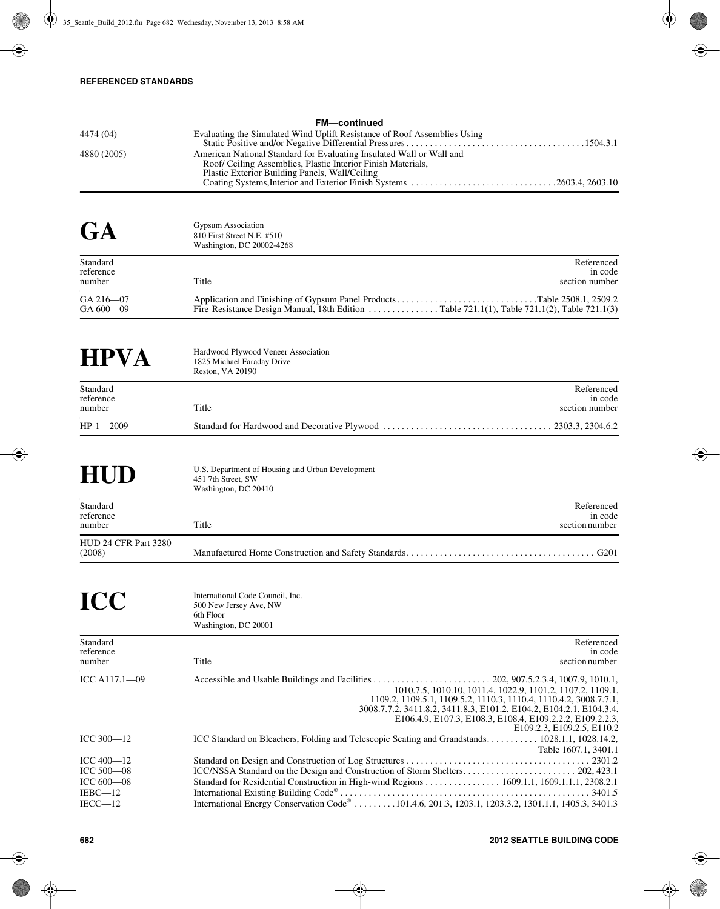|             | <b>FM-continued</b>                                                      |
|-------------|--------------------------------------------------------------------------|
| 4474 (04)   | Evaluating the Simulated Wind Uplift Resistance of Roof Assemblies Using |
|             |                                                                          |
| 4880 (2005) | American National Standard for Evaluating Insulated Wall or Wall and     |
|             | Roof/ Ceiling Assemblies, Plastic Interior Finish Materials,             |
|             | Plastic Exterior Building Panels, Wall/Ceiling                           |
|             |                                                                          |

| GA                              | Gypsum Association<br>810 First Street N.E. #510<br>Washington, DC 20002-4268 |                                         |
|---------------------------------|-------------------------------------------------------------------------------|-----------------------------------------|
| Standard<br>reference<br>number | Title                                                                         | Referenced<br>in code<br>section number |
| $GA\,216 - 07$<br>GA 600-09     | Application and Finishing of Gypsum Panel ProductsTable 2508.1, 2509.2        |                                         |

| <b>HPVA</b>                     | Hardwood Plywood Veneer Association<br>1825 Michael Faraday Drive<br><b>Reston, VA 20190</b> |                                         |
|---------------------------------|----------------------------------------------------------------------------------------------|-----------------------------------------|
| Standard<br>reference<br>number | Title                                                                                        | Referenced<br>in code<br>section number |
| $HP-1-2009$                     |                                                                                              |                                         |

| <b>HUD</b>                      | U.S. Department of Housing and Urban Development<br>451 7th Street, SW<br>Washington, DC 20410 |                                         |
|---------------------------------|------------------------------------------------------------------------------------------------|-----------------------------------------|
| Standard<br>reference<br>number | Title                                                                                          | Referenced<br>in code<br>section number |
| HUD 24 CFR Part 3280<br>(2008)  |                                                                                                |                                         |

**ICC** International Code Council, Inc.<br>
500 New Jersey Ave, NW 6th Floor Washington, DC 20001

| Standard<br>reference<br>number | Referenced<br>in code<br>Title<br>section number                                                                                                                                                                                                                                                  |
|---------------------------------|---------------------------------------------------------------------------------------------------------------------------------------------------------------------------------------------------------------------------------------------------------------------------------------------------|
| ICC A117.1-09                   | 1010.7.5, 1010.10, 1011.4, 1022.9, 1101.2, 1107.2, 1109.1,<br>1109.2, 1109.5.1, 1109.5.2, 1110.3, 1110.4, 1110.4.2, 3008.7.7.1,<br>3008.7.7.2, 3411.8.2, 3411.8.3, E101.2, E104.2, E104.2.1, E104.3.4,<br>E106.4.9, E107.3, E108.3, E108.4, E109.2.2.2, E109.2.2.3,<br>E109.2.3, E109.2.5, E110.2 |
| ICC 300-12                      | ICC Standard on Bleachers, Folding and Telescopic Seating and Grandstands 1028.1.1, 1028.14.2,<br>Table 1607.1, 3401.1                                                                                                                                                                            |
| $ICC 400 - 12$                  |                                                                                                                                                                                                                                                                                                   |
| ICC 500-08                      |                                                                                                                                                                                                                                                                                                   |
| ICC 600-08                      | Standard for Residential Construction in High-wind Regions 1609.1.1, 1609.1.1.1, 2308.2.1                                                                                                                                                                                                         |
| $IEBC-12$                       |                                                                                                                                                                                                                                                                                                   |
| $IECC - 12$                     | International Energy Conservation Code® 101.4.6, 201.3, 1203.1, 1203.3.2, 1301.1.1, 1405.3, 3401.3                                                                                                                                                                                                |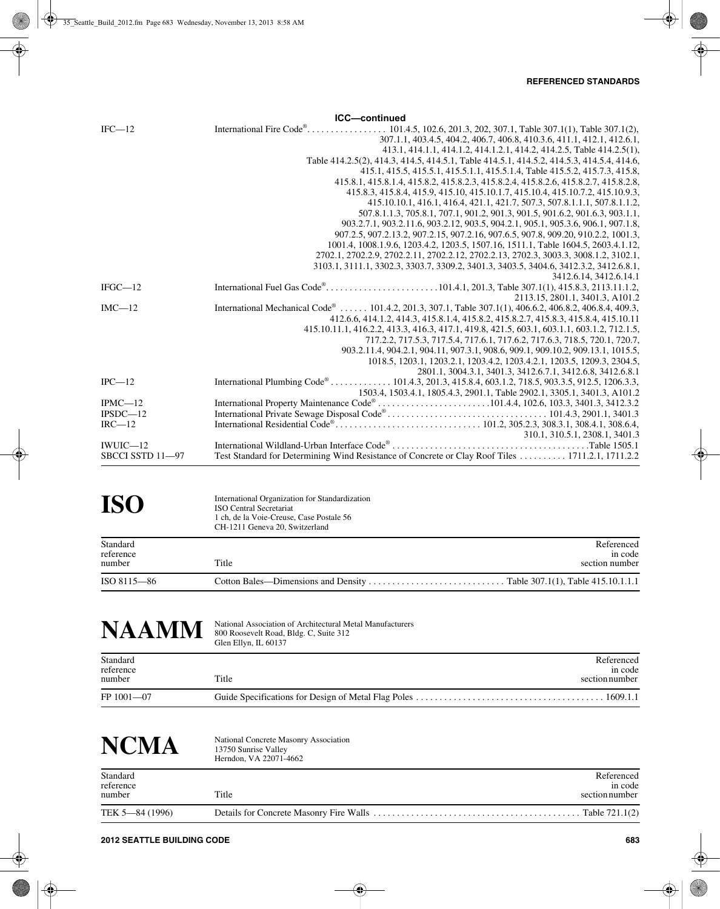|                  | <b>ICC-continued</b>                                                                                                |
|------------------|---------------------------------------------------------------------------------------------------------------------|
| $IFC-12$         | International Fire Code® 101.4.5, 102.6, 201.3, 202, 307.1, Table 307.1(1), Table 307.1(2),                         |
|                  | 307.1.1, 403.4.5, 404.2, 406.7, 406.8, 410.3.6, 411.1, 412.1, 412.6.1,                                              |
|                  | 413.1, 414.1.1, 414.1.2, 414.1.2.1, 414.2, 414.2.5, Table 414.2.5(1),                                               |
|                  | Table 414.2.5(2), 414.3, 414.5, 414.5.1, Table 414.5.1, 414.5.2, 414.5.3, 414.5.4, 414.6,                           |
|                  | 415.1, 415.5, 415.5.1, 415.5.1.1, 415.5.1.4, Table 415.5.2, 415.7.3, 415.8,                                         |
|                  | 415.8.1, 415.8.1.4, 415.8.2, 415.8.2.3, 415.8.2.4, 415.8.2.6, 415.8.2.7, 415.8.2.8,                                 |
|                  | 415.8.3, 415.8.4, 415.9, 415.10, 415.10.1.7, 415.10.4, 415.10.7.2, 415.10.9.3,                                      |
|                  | 415.10.10.1, 416.1, 416.4, 421.1, 421.7, 507.3, 507.8.1.1.1, 507.8.1.1.2,                                           |
|                  | 507.8.1.1.3, 705.8.1, 707.1, 901.2, 901.3, 901.5, 901.6.2, 901.6.3, 903.1.1,                                        |
|                  | 903.2.7.1, 903.2.11.6, 903.2.12, 903.5, 904.2.1, 905.1, 905.3.6, 906.1, 907.1.8,                                    |
|                  | 907.2.5, 907.2.13.2, 907.2.15, 907.2.16, 907.6.5, 907.8, 909.20, 910.2.2, 1001.3,                                   |
|                  | 1001.4, 1008.1.9.6, 1203.4.2, 1203.5, 1507.16, 1511.1, Table 1604.5, 2603.4.1.12,                                   |
|                  | 2702.1, 2702.2.9, 2702.2.11, 2702.2.12, 2702.2.13, 2702.3, 3003.3, 3008.1.2, 3102.1,                                |
|                  | 3103.1, 3111.1, 3302.3, 3303.7, 3309.2, 3401.3, 3403.5, 3404.6, 3412.3.2, 3412.6.8.1,                               |
|                  | 3412.6.14, 3412.6.14.1                                                                                              |
| $IFGC-12$        |                                                                                                                     |
|                  | 2113.15, 2801.1, 3401.3, A101.2                                                                                     |
| $IMC-12$         | International Mechanical Code <sup>®</sup> 101.4.2, 201.3, 307.1, Table 307.1(1), 406.6.2, 406.8.2, 406.8.4, 409.3, |
|                  | 412.6.6, 414.1.2, 414.3, 415.8.1.4, 415.8.2, 415.8.2.7, 415.8.3, 415.8.4, 415.10.11                                 |
|                  | 415.10.11.1, 416.2.2, 413.3, 416.3, 417.1, 419.8, 421.5, 603.1, 603.1.1, 603.1.2, 712.1.5,                          |
|                  | 717.2.2, 717.5.3, 717.5.4, 717.6.1, 717.6.2, 717.6.3, 718.5, 720.1, 720.7,                                          |
|                  | 903.2.11.4, 904.2.1, 904.11, 907.3.1, 908.6, 909.1, 909.10.2, 909.13.1, 1015.5,                                     |
|                  | 1018.5, 1203.1, 1203.2.1, 1203.4.2, 1203.4.2.1, 1203.5, 1209.3, 2304.5,                                             |
|                  | 2801.1, 3004.3.1, 3401.3, 3412.6.7.1, 3412.6.8, 3412.6.8.1                                                          |
| $IPC$ —12        | International Plumbing Code® 101.4.3, 201.3, 415.8.4, 603.1.2, 718.5, 903.3.5, 912.5, 1206.3.3,                     |
|                  | 1503.4, 1503.4.1, 1805.4.3, 2901.1, Table 2902.1, 3305.1, 3401.3, A101.2                                            |
| $IPMC-12$        |                                                                                                                     |
| $IPSDC-12$       |                                                                                                                     |
| $IRC-12$         |                                                                                                                     |
|                  | 310.1, 310.5.1, 2308.1, 3401.3                                                                                      |
| $IWUIC = 12$     |                                                                                                                     |
| SBCCI SSTD 11-97 | Test Standard for Determining Wind Resistance of Concrete or Clay Roof Tiles  1711.2.1, 1711.2.2                    |

| <b>ISO</b>                      | International Organization for Standardization<br><b>ISO Central Secretariat</b><br>1 ch, de la Voie-Creuse, Case Postale 56<br>CH-1211 Geneva 20, Switzerland |                                         |
|---------------------------------|----------------------------------------------------------------------------------------------------------------------------------------------------------------|-----------------------------------------|
| Standard<br>reference<br>number | Title                                                                                                                                                          | Referenced<br>in code<br>section number |
| ISO 8115-86                     |                                                                                                                                                                |                                         |

| <b>NAAMM</b>                    | National Association of Architectural Metal Manufacturers<br>800 Roosevelt Road, Bldg. C, Suite 312<br>Glen Ellyn, IL 60137 |                                         |
|---------------------------------|-----------------------------------------------------------------------------------------------------------------------------|-----------------------------------------|
| Standard<br>reference<br>number | Title                                                                                                                       | Referenced<br>in code<br>section number |
| $FP 1001 - 07$                  |                                                                                                                             |                                         |

| <b>NCMA</b>                     | National Concrete Masonry Association<br>13750 Sunrise Valley<br>Herndon, VA 22071-4662 |                                         |
|---------------------------------|-----------------------------------------------------------------------------------------|-----------------------------------------|
| Standard<br>reference<br>number | Title                                                                                   | Referenced<br>in code<br>section number |
| TEK 5-84 (1996)                 |                                                                                         |                                         |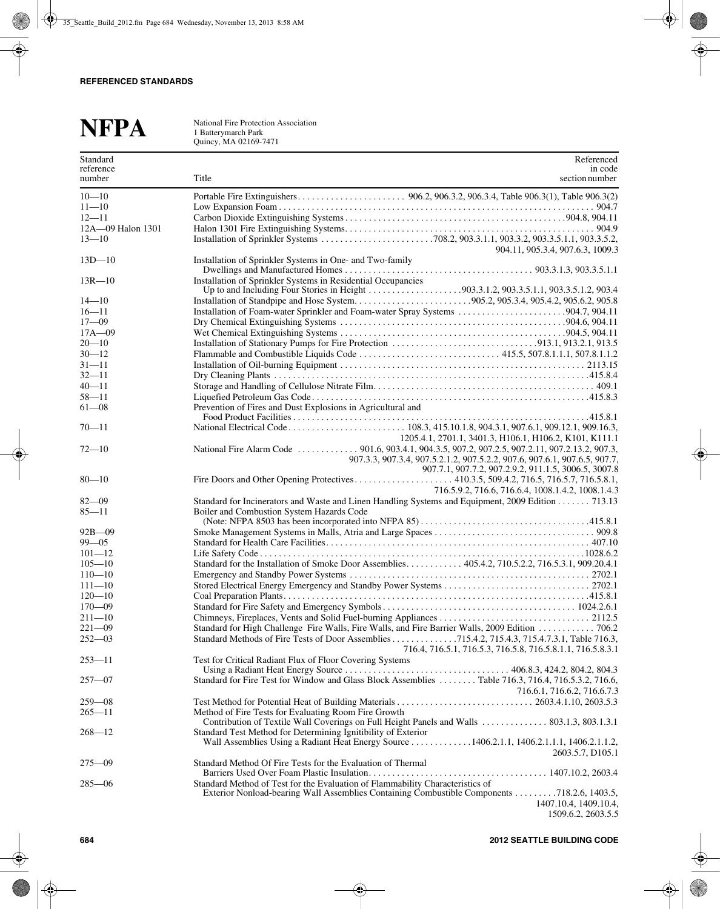| <b>NFPA</b>                     | National Fire Protection Association<br>1 Batterymarch Park<br>Quincy, MA 02169-7471                                              |
|---------------------------------|-----------------------------------------------------------------------------------------------------------------------------------|
| Standard<br>reference<br>number | Referenced<br>in code<br>Title<br>section number                                                                                  |
|                                 |                                                                                                                                   |
| $10 - 10$                       |                                                                                                                                   |
| $11 - 10$<br>$12 - 11$          |                                                                                                                                   |
| 12A-09 Halon 1301               |                                                                                                                                   |
| $13 - 10$                       |                                                                                                                                   |
|                                 | 904.11, 905.3.4, 907.6.3, 1009.3                                                                                                  |
| $13D - 10$                      | Installation of Sprinkler Systems in One- and Two-family                                                                          |
| $13R - 10$                      | Installation of Sprinkler Systems in Residential Occupancies                                                                      |
|                                 |                                                                                                                                   |
| $14 - 10$                       |                                                                                                                                   |
| $16 - 11$                       |                                                                                                                                   |
| $17 - 09$                       |                                                                                                                                   |
| $17A - 09$                      |                                                                                                                                   |
| $20 - 10$                       |                                                                                                                                   |
| $30 - 12$                       |                                                                                                                                   |
| $31 - 11$<br>$32 - 11$          |                                                                                                                                   |
| $40 - 11$                       |                                                                                                                                   |
| $58 - 11$                       |                                                                                                                                   |
| $61 - 08$                       | Prevention of Fires and Dust Explosions in Agricultural and                                                                       |
|                                 |                                                                                                                                   |
| $70 - 11$                       | 1205.4.1, 2701.1, 3401.3, H106.1, H106.2, K101, K111.1                                                                            |
| $72 - 10$                       | 907.3.3, 907.3.4, 907.5.2.1.2, 907.5.2.2, 907.6, 907.6.1, 907.6.5, 907.7,                                                         |
| $80 - 10$                       | 907.7.1, 907.7.2, 907.2.9.2, 911.1.5, 3006.5, 3007.8<br>716.5.9.2, 716.6, 716.6.4, 1008.1.4.2, 1008.1.4.3                         |
| $82 - 09$                       | Standard for Incinerators and Waste and Linen Handling Systems and Equipment, 2009 Edition 713.13                                 |
| $85 - 11$                       | Boiler and Combustion System Hazards Code                                                                                         |
| $92B - 09$                      |                                                                                                                                   |
| $99 - 05$                       |                                                                                                                                   |
| $101 - 12$                      |                                                                                                                                   |
| $105 - 10$                      | Standard for the Installation of Smoke Door Assemblies. 405.4.2, 710.5.2.2, 716.5.3.1, 909.20.4.1                                 |
| $110 - 10$                      |                                                                                                                                   |
| $111 - 10$                      |                                                                                                                                   |
| $120 - 10$                      |                                                                                                                                   |
| $170 - 09$                      |                                                                                                                                   |
| $211 - 10$                      |                                                                                                                                   |
| $221 - 09$                      | Standard for High Challenge Fire Walls, Fire Walls, and Fire Barrier Walls, 2009 Edition  706.2                                   |
| $252 - 03$                      | Standard Methods of Fire Tests of Door Assemblies 715.4.2, 715.4.3, 715.4.7.3.1, Table 716.3,                                     |
|                                 | 716.4, 716.5.1, 716.5.3, 716.5.8, 716.5.8.1.1, 716.5.8.3.1                                                                        |
| $253 - 11$                      | Test for Critical Radiant Flux of Floor Covering Systems                                                                          |
| $257 - 07$                      | Standard for Fire Test for Window and Glass Block Assemblies Table 716.3, 716.4, 716.5.3.2, 716.6,<br>716.6.1, 716.6.2, 716.6.7.3 |
| $259 - 08$                      |                                                                                                                                   |
| $265 - 11$                      | Method of Fire Tests for Evaluating Room Fire Growth                                                                              |
| $268 - 12$                      | Standard Test Method for Determining Ignitibility of Exterior                                                                     |
|                                 | Wall Assemblies Using a Radiant Heat Energy Source 1406.2.1.1, 1406.2.1.1.1, 1406.2.1.1.2,<br>2603.5.7, D105.1                    |
| $275 - 09$                      | Standard Method Of Fire Tests for the Evaluation of Thermal                                                                       |
| $285 - 06$                      | Standard Method of Test for the Evaluation of Flammability Characteristics of                                                     |
|                                 | Exterior Nonload-bearing Wall Assemblies Containing Combustible Components 718.2.6, 1403.5,<br>1407.10.4, 1409.10.4,              |
|                                 |                                                                                                                                   |

<sup>1509.6.2, 2603.5.5</sup>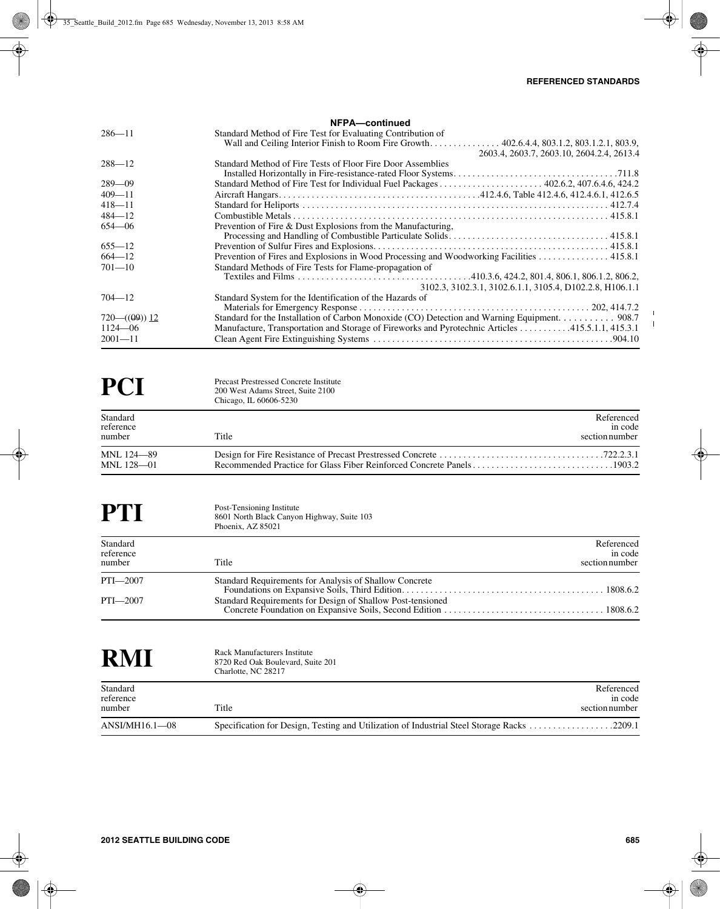$\mathbf{I}$  $\mathbf{I}$ 

|               | NFPA-continued                                                                                   |
|---------------|--------------------------------------------------------------------------------------------------|
| $286 - 11$    | Standard Method of Fire Test for Evaluating Contribution of                                      |
|               |                                                                                                  |
|               | 2603.4, 2603.7, 2603.10, 2604.2.4, 2613.4                                                        |
| $288 - 12$    | Standard Method of Fire Tests of Floor Fire Door Assemblies                                      |
|               |                                                                                                  |
| $289 - 09$    |                                                                                                  |
| $409 - 11$    |                                                                                                  |
| $418 - 11$    |                                                                                                  |
| $484 - 12$    |                                                                                                  |
| $654 - 06$    | Prevention of Fire & Dust Explosions from the Manufacturing,                                     |
|               |                                                                                                  |
| $655 - 12$    |                                                                                                  |
| $664 - 12$    | Prevention of Fires and Explosions in Wood Processing and Woodworking Facilities 415.8.1         |
| $701 - 10$    | Standard Methods of Fire Tests for Flame-propagation of                                          |
|               |                                                                                                  |
|               | 3102.3, 3102.3.1, 3102.6.1.1, 3105.4, D102.2.8, H106.1.1                                         |
| $704 - 12$    | Standard System for the Identification of the Hazards of                                         |
|               |                                                                                                  |
| $720-(09)$ 12 | Standard for the Installation of Carbon Monoxide (CO) Detection and Warning Equipment. 908.7     |
| $1124 - 06$   | Manufacture, Transportation and Storage of Fireworks and Pyrotechnic Articles 415.5.1.1, 415.3.1 |
| $2001 - 11$   |                                                                                                  |

| PC.                             | <b>Precast Prestressed Concrete Institute</b><br>200 West Adams Street, Suite 2100<br>Chicago, IL 60606-5230 |                                         |
|---------------------------------|--------------------------------------------------------------------------------------------------------------|-----------------------------------------|
| Standard<br>reference<br>number | Title                                                                                                        | Referenced<br>in code<br>section number |
| MNL 124-89<br>MNL 128-01        |                                                                                                              |                                         |

| PTI                             | Post-Tensioning Institute<br>8601 North Black Canyon Highway, Suite 103<br>Phoenix, AZ 85021 |                                         |
|---------------------------------|----------------------------------------------------------------------------------------------|-----------------------------------------|
| Standard<br>reference<br>number | Title                                                                                        | Referenced<br>in code<br>section number |
| $PTI - 2007$                    | Standard Requirements for Analysis of Shallow Concrete                                       |                                         |
| $PTI = 2007$                    | Standard Requirements for Design of Shallow Post-tensioned                                   |                                         |

| <b>RMI</b>                      | Rack Manufacturers Institute<br>8720 Red Oak Boulevard, Suite 201<br>Charlotte, NC 28217 |                                         |
|---------------------------------|------------------------------------------------------------------------------------------|-----------------------------------------|
| Standard<br>reference<br>number | Title                                                                                    | Referenced<br>in code<br>section number |
| $ANSI/MH16.1-08$                |                                                                                          |                                         |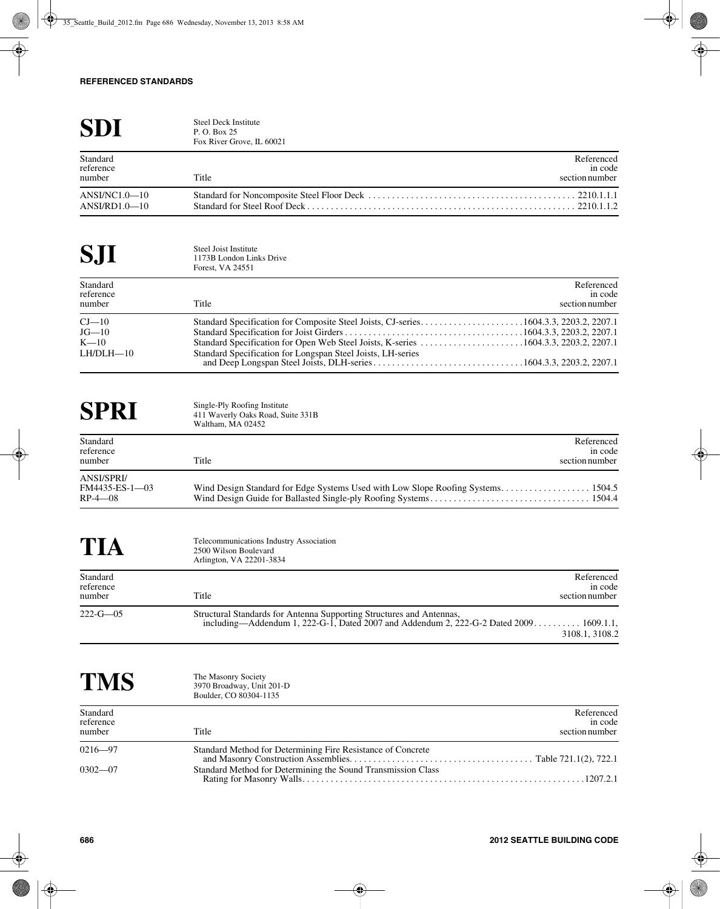| <b>SD</b>                         | <b>Steel Deck Institute</b><br>P. O. Box 25<br>Fox River Grove, IL 60021 |                                         |
|-----------------------------------|--------------------------------------------------------------------------|-----------------------------------------|
| Standard<br>reference<br>number   | Title                                                                    | Referenced<br>in code<br>section number |
| $ANSINCI.0-10$<br>$ANSI/RD1.0-10$ |                                                                          |                                         |

| <b>SJI</b>                      | Steel Joist Institute<br>1173B London Links Drive<br>Forest, VA 24551                |                                         |
|---------------------------------|--------------------------------------------------------------------------------------|-----------------------------------------|
| Standard<br>reference<br>number | Title                                                                                | Referenced<br>in code<br>section number |
| $C_{\rm J}$ - 10<br>$JG-10$     | Standard Specification for Composite Steel Joists, CJ-series1604.3.3, 2203.2, 2207.1 |                                         |
| $K=10$<br>$LH/DLH - 10$         | Standard Specification for Longspan Steel Joists, LH-series                          |                                         |

## **SPRI** Single-Ply Roofing Institute<br>
411 Waverly Oaks Road, Suite 331B<br>
Waltham MA 02452 Waltham, MA 02452

| Standard<br>reference<br>number             | Referenced<br>in code<br>Title<br>section number |  |
|---------------------------------------------|--------------------------------------------------|--|
| ANSI/SPRI/<br>FM4435-ES-1-03<br>$RP-4$ - 08 |                                                  |  |

| TIA                             | Telecommunications Industry Association<br>2500 Wilson Boulevard<br>Arlington, VA 22201-3834                                                                   |                                         |
|---------------------------------|----------------------------------------------------------------------------------------------------------------------------------------------------------------|-----------------------------------------|
| Standard<br>reference<br>number | Title                                                                                                                                                          | Referenced<br>in code<br>section number |
| $222 - G - 05$                  | Structural Standards for Antenna Supporting Structures and Antennas,<br>including—Addendum 1, 222-G-1, Dated 2007 and Addendum 2, 222-G-2 Dated 2009 1609.1.1, | 3108.1, 3108.2                          |

| <b>TMS</b>                      | The Masonry Society<br>3970 Broadway, Unit 201-D<br>Boulder, CO 80304-1135 |
|---------------------------------|----------------------------------------------------------------------------|
| Standard<br>reference<br>number | Referenced<br>in code<br>Title<br>section number                           |
| $0216 - 97$                     | Standard Method for Determining Fire Resistance of Concrete                |
| $0302 - 07$                     | Standard Method for Determining the Sound Transmission Class               |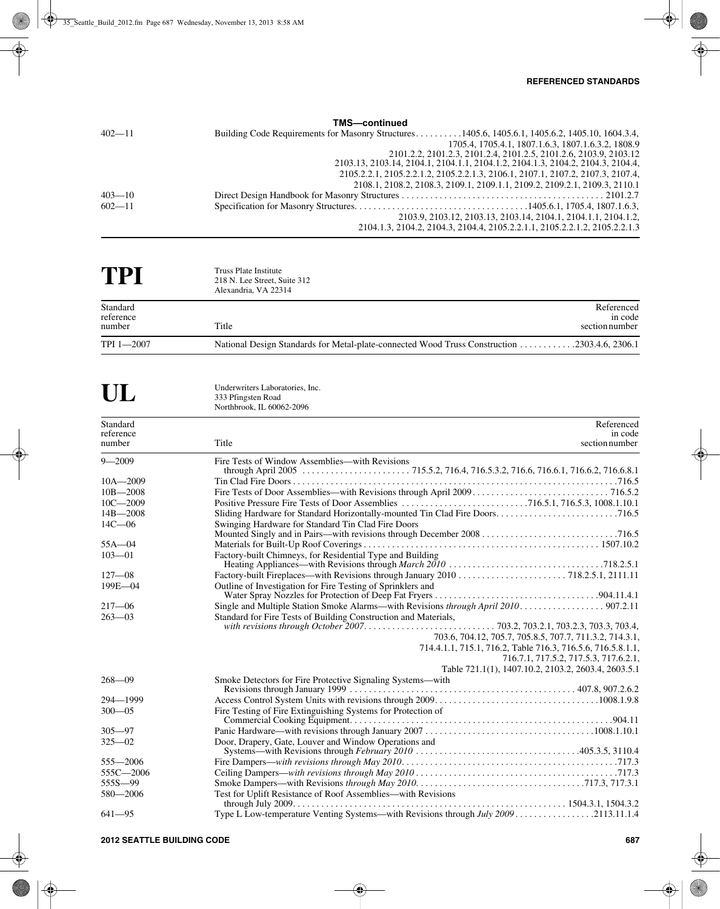| <b>TMS-continued</b> |                                                                                                 |  |
|----------------------|-------------------------------------------------------------------------------------------------|--|
| $402 - 11$           | Building Code Requirements for Masonry Structures1405.6, 1405.6.1, 1405.6.2, 1405.10, 1604.3.4, |  |
|                      | 1705.4, 1705.4.1, 1807.1.6.3, 1807.1.6.3.2, 1808.9                                              |  |
|                      | 2101.2.2, 2101.2.3, 2101.2.4, 2101.2.5, 2101.2.6, 2103.9, 2103.12                               |  |
|                      | 2103.13, 2103.14, 2104.1, 2104.1.1, 2104.1.2, 2104.1.3, 2104.2, 2104.3, 2104.4,                 |  |
|                      | 2105.2.2.1, 2105.2.2.1.2, 2105.2.2.1.3, 2106.1, 2107.1, 2107.2, 2107.3, 2107.4,                 |  |
|                      | 2108.1, 2108.2, 2108.3, 2109.1, 2109.1.1, 2109.2, 2109.2.1, 2109.3, 2110.1                      |  |
| $403 - 10$           |                                                                                                 |  |
| $602 - 11$           |                                                                                                 |  |
|                      | 2103.9, 2103.12, 2103.13, 2103.14, 2104.1, 2104.1.1, 2104.1.2.                                  |  |
|                      | 2104.1.3, 2104.2, 2104.3, 2104.4, 2105.2.2.1.1, 2105.2.2.1.2, 2105.2.2.1.3                      |  |

## **TPI** Truss Plate Institute<br>218 N. Lee Street, Su 218 N. Lee Street, Suite 312 Alexandria, VA 22314

| Standard<br>reference<br>number | Title                                                                                        | Referenced<br>in code<br>section number |
|---------------------------------|----------------------------------------------------------------------------------------------|-----------------------------------------|
| TPI 1-2007                      | National Design Standards for Metal-plate-connected Wood Truss Construction 2303.4.6, 2306.1 |                                         |

UL Underwriters Laboratories, Inc.<br>
333 Pfingsten Road 333 Pfingsten Road Northbrook, IL 60062-2096

| Standard<br>reference | Referenced<br>in code                                                              |
|-----------------------|------------------------------------------------------------------------------------|
| number                | Title<br>section number                                                            |
| $9 - 2009$            | Fire Tests of Window Assemblies—with Revisions                                     |
|                       |                                                                                    |
| $10A - 2009$          |                                                                                    |
| $10B - 2008$          |                                                                                    |
| $10C - 2009$          |                                                                                    |
| $14B - 2008$          |                                                                                    |
| $14C - 06$            | Swinging Hardware for Standard Tin Clad Fire Doors                                 |
| $55A - 04$            |                                                                                    |
| $103 - 01$            | Factory-built Chimneys, for Residential Type and Building                          |
|                       |                                                                                    |
| $127 - 08$            |                                                                                    |
| $199E - 04$           | Outline of Investigation for Fire Testing of Sprinklers and                        |
|                       |                                                                                    |
| $217 - 06$            |                                                                                    |
| $263 - 03$            | Standard for Fire Tests of Building Construction and Materials,                    |
|                       |                                                                                    |
|                       | 703.6, 704.12, 705.7, 705.8.5, 707.7, 711.3.2, 714.3.1,                            |
|                       | 714.4.1.1, 715.1, 716.2, Table 716.3, 716.5.6, 716.5.8.1.1,                        |
|                       | 716.7.1, 717.5.2, 717.5.3, 717.6.2.1,                                              |
|                       | Table 721.1(1), 1407.10.2, 2103.2, 2603.4, 2603.5.1                                |
| $268 - 09$            | Smoke Detectors for Fire Protective Signaling Systems—with                         |
|                       |                                                                                    |
| $294 - 1999$          |                                                                                    |
| $300 - 05$            | Fire Testing of Fire Extinguishing Systems for Protection of                       |
|                       |                                                                                    |
| $305 - 97$            |                                                                                    |
| $325 - 02$            | Door, Drapery, Gate, Louver and Window Operations and                              |
| $555 - 2006$          |                                                                                    |
| 555C-2006             |                                                                                    |
| $555S - 99$           |                                                                                    |
| $580 - 2006$          | Test for Uplift Resistance of Roof Assemblies—with Revisions                       |
|                       |                                                                                    |
| $641 - 95$            | Type L Low-temperature Venting Systems—with Revisions through July 20092113.11.1.4 |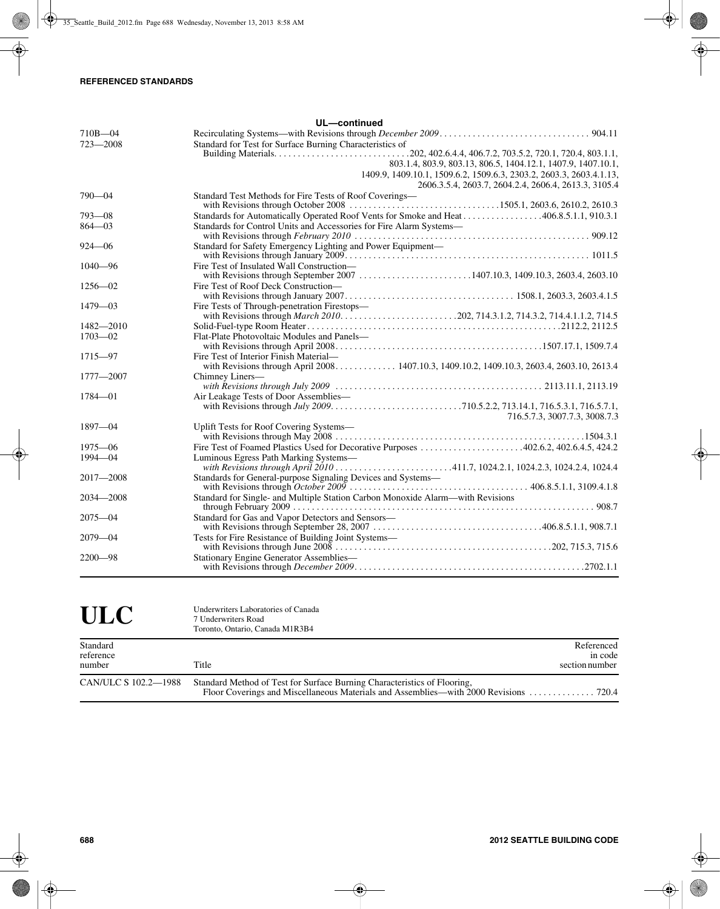|               | UL-continued                                                                           |
|---------------|----------------------------------------------------------------------------------------|
| $710B - 04$   |                                                                                        |
| $723 - 2008$  | Standard for Test for Surface Burning Characteristics of                               |
|               |                                                                                        |
|               | 803.1.4, 803.9, 803.13, 806.5, 1404.12.1, 1407.9, 1407.10.1,                           |
|               | 1409.9, 1409.10.1, 1509.6.2, 1509.6.3, 2303.2, 2603.3, 2603.4.1.13,                    |
|               | 2606.3.5.4, 2603.7, 2604.2.4, 2606.4, 2613.3, 3105.4                                   |
| $790 - 04$    | Standard Test Methods for Fire Tests of Roof Coverings-                                |
|               |                                                                                        |
| $793 - 08$    | Standards for Automatically Operated Roof Vents for Smoke and Heat406.8.5.1.1, 910.3.1 |
| $864 - 03$    | Standards for Control Units and Accessories for Fire Alarm Systems-                    |
| $924 - 06$    | Standard for Safety Emergency Lighting and Power Equipment-                            |
| $1040 - 96$   | Fire Test of Insulated Wall Construction—                                              |
|               |                                                                                        |
| $1256 - 02$   | Fire Test of Roof Deck Construction-                                                   |
|               |                                                                                        |
| $1479 - 03$   | Fire Tests of Through-penetration Firestops-                                           |
|               |                                                                                        |
| $1482 - 2010$ |                                                                                        |
| $1703 - 02$   | Flat-Plate Photovoltaic Modules and Panels-                                            |
| $1715 - 97$   | Fire Test of Interior Finish Material—                                                 |
|               |                                                                                        |
| 1777-2007     | Chimney Liners-                                                                        |
|               |                                                                                        |
| $1784 - 01$   | Air Leakage Tests of Door Assemblies-                                                  |
|               |                                                                                        |
|               | 716.5.7.3, 3007.7.3, 3008.7.3                                                          |
| 1897—04       | Uplift Tests for Roof Covering Systems—                                                |
|               |                                                                                        |
| $1975 - 06$   | Fire Test of Foamed Plastics Used for Decorative Purposes 402.6.2, 402.6.4.5, 424.2    |
| $1994 - 04$   | Luminous Egress Path Marking Systems-                                                  |
|               |                                                                                        |
| $2017 - 2008$ |                                                                                        |
| $2034 - 2008$ | Standard for Single- and Multiple Station Carbon Monoxide Alarm—with Revisions         |
|               |                                                                                        |
| $2075 - 04$   | Standard for Gas and Vapor Detectors and Sensors-                                      |
|               |                                                                                        |
| $2079 - 04$   | Tests for Fire Resistance of Building Joint Systems-                                   |
|               |                                                                                        |
| $2200 - 98$   | <b>Stationary Engine Generator Assemblies-</b>                                         |
|               |                                                                                        |

| <b>ULC</b>                      | Underwriters Laboratories of Canada<br>7 Underwriters Road<br>Toronto, Ontario, Canada M1R3B4 |                                         |
|---------------------------------|-----------------------------------------------------------------------------------------------|-----------------------------------------|
| Standard<br>reference<br>number | Title                                                                                         | Referenced<br>in code<br>section number |
| CAN/ULC S 102.2-1988            | Standard Method of Test for Surface Burning Characteristics of Flooring,                      |                                         |